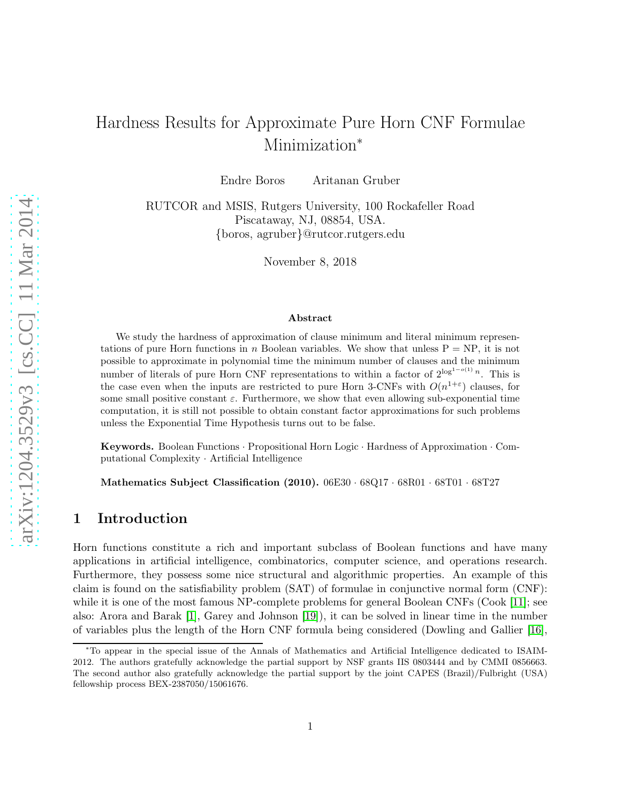# Hardness Results for Approximate Pure Horn CNF Formulae Minimization<sup>\*</sup>

Endre Boros Aritanan Gruber

RUTCOR and MSIS, Rutgers University, 100 Rockafeller Road Piscataway, NJ, 08854, USA. {boros, agruber}@rutcor.rutgers.edu

November 8, 2018

#### Abstract

We study the hardness of approximation of clause minimum and literal minimum representations of pure Horn functions in n Boolean variables. We show that unless  $P = NP$ , it is not possible to approximate in polynomial time the minimum number of clauses and the minimum number of literals of pure Horn CNF representations to within a factor of  $2^{\log^{1-o(1)} n}$ . This is the case even when the inputs are restricted to pure Horn 3-CNFs with  $O(n^{1+\varepsilon})$  clauses, for some small positive constant  $\varepsilon$ . Furthermore, we show that even allowing sub-exponential time computation, it is still not possible to obtain constant factor approximations for such problems unless the Exponential Time Hypothesis turns out to be false.

Keywords. Boolean Functions · Propositional Horn Logic · Hardness of Approximation · Computational Complexity · Artificial Intelligence

Mathematics Subject Classification (2010). 06E30 · 68Q17 · 68R01 · 68T01 · 68T27

# 1 Introduction

Horn functions constitute a rich and important subclass of Boolean functions and have many applications in artificial intelligence, combinatorics, computer science, and operations research. Furthermore, they possess some nice structural and algorithmic properties. An example of this claim is found on the satisfiability problem (SAT) of formulae in conjunctive normal form (CNF): while it is one of the most famous NP-complete problems for general Boolean CNFs (Cook [\[11\]](#page-37-0); see also: Arora and Barak [\[1\]](#page-36-0), Garey and Johnson [\[19\]](#page-37-1)), it can be solved in linear time in the number of variables plus the length of the Horn CNF formula being considered (Dowling and Gallier [\[16\]](#page-37-2),

<sup>∗</sup>To appear in the special issue of the Annals of Mathematics and Artificial Intelligence dedicated to ISAIM-2012. The authors gratefully acknowledge the partial support by NSF grants IIS 0803444 and by CMMI 0856663. The second author also gratefully acknowledge the partial support by the joint CAPES (Brazil)/Fulbright (USA) fellowship process BEX-2387050/15061676.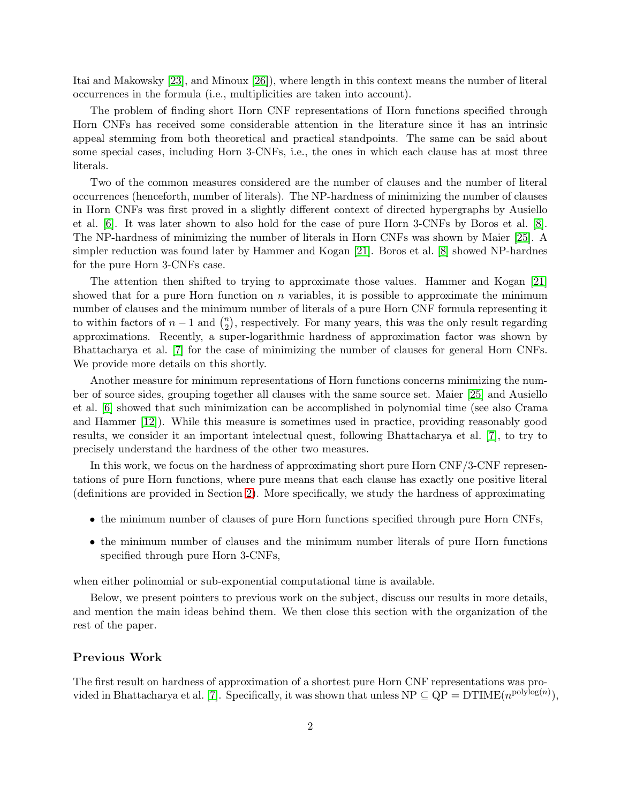Itai and Makowsky [\[23\]](#page-38-0), and Minoux [\[26\]](#page-38-1)), where length in this context means the number of literal occurrences in the formula (i.e., multiplicities are taken into account).

The problem of finding short Horn CNF representations of Horn functions specified through Horn CNFs has received some considerable attention in the literature since it has an intrinsic appeal stemming from both theoretical and practical standpoints. The same can be said about some special cases, including Horn 3-CNFs, i.e., the ones in which each clause has at most three literals.

Two of the common measures considered are the number of clauses and the number of literal occurrences (henceforth, number of literals). The NP-hardness of minimizing the number of clauses in Horn CNFs was first proved in a slightly different context of directed hypergraphs by Ausiello et al. [\[6\]](#page-36-1). It was later shown to also hold for the case of pure Horn 3-CNFs by Boros et al. [\[8\]](#page-37-3). The NP-hardness of minimizing the number of literals in Horn CNFs was shown by Maier [\[25\]](#page-38-2). A simpler reduction was found later by Hammer and Kogan [\[21\]](#page-37-4). Boros et al. [\[8\]](#page-37-3) showed NP-hardnes for the pure Horn 3-CNFs case.

The attention then shifted to trying to approximate those values. Hammer and Kogan [\[21\]](#page-37-4) showed that for a pure Horn function on  $n$  variables, it is possible to approximate the minimum number of clauses and the minimum number of literals of a pure Horn CNF formula representing it to within factors of  $n-1$  and  $\binom{n}{2}$  $n_2$ , respectively. For many years, this was the only result regarding approximations. Recently, a super-logarithmic hardness of approximation factor was shown by Bhattacharya et al. [\[7\]](#page-36-2) for the case of minimizing the number of clauses for general Horn CNFs. We provide more details on this shortly.

Another measure for minimum representations of Horn functions concerns minimizing the number of source sides, grouping together all clauses with the same source set. Maier [\[25\]](#page-38-2) and Ausiello et al. [\[6\]](#page-36-1) showed that such minimization can be accomplished in polynomial time (see also Crama and Hammer [\[12\]](#page-37-5)). While this measure is sometimes used in practice, providing reasonably good results, we consider it an important intelectual quest, following Bhattacharya et al. [\[7\]](#page-36-2), to try to precisely understand the hardness of the other two measures.

In this work, we focus on the hardness of approximating short pure Horn CNF/3-CNF representations of pure Horn functions, where pure means that each clause has exactly one positive literal (definitions are provided in Section [2\)](#page-4-0). More specifically, we study the hardness of approximating

- the minimum number of clauses of pure Horn functions specified through pure Horn CNFs,
- the minimum number of clauses and the minimum number literals of pure Horn functions specified through pure Horn 3-CNFs,

when either polinomial or sub-exponential computational time is available.

Below, we present pointers to previous work on the subject, discuss our results in more details, and mention the main ideas behind them. We then close this section with the organization of the rest of the paper.

#### Previous Work

The first result on hardness of approximation of a shortest pure Horn CNF representations was pro-vided in Bhattacharya et al. [\[7\]](#page-36-2). Specifically, it was shown that unless  $NP \subseteq QP = DTIME(n^{polylog(n)}),$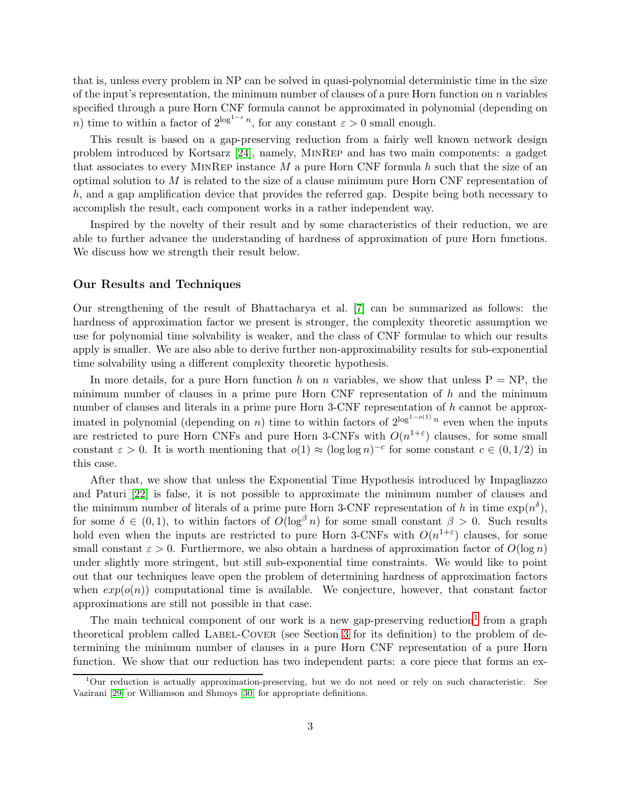that is, unless every problem in NP can be solved in quasi-polynomial deterministic time in the size of the input's representation, the minimum number of clauses of a pure Horn function on  $n$  variables specified through a pure Horn CNF formula cannot be approximated in polynomial (depending on n) time to within a factor of  $2^{\log^{1-\varepsilon} n}$ , for any constant  $\varepsilon > 0$  small enough.

This result is based on a gap-preserving reduction from a fairly well known network design problem introduced by Kortsarz [\[24\]](#page-38-3), namely, MinRep and has two main components: a gadget that associates to every MINREP instance  $M$  a pure Horn CNF formula  $h$  such that the size of an optimal solution to  $M$  is related to the size of a clause minimum pure Horn CNF representation of h, and a gap amplification device that provides the referred gap. Despite being both necessary to accomplish the result, each component works in a rather independent way.

Inspired by the novelty of their result and by some characteristics of their reduction, we are able to further advance the understanding of hardness of approximation of pure Horn functions. We discuss how we strength their result below.

#### Our Results and Techniques

Our strengthening of the result of Bhattacharya et al. [\[7\]](#page-36-2) can be summarized as follows: the hardness of approximation factor we present is stronger, the complexity theoretic assumption we use for polynomial time solvability is weaker, and the class of CNF formulae to which our results apply is smaller. We are also able to derive further non-approximability results for sub-exponential time solvability using a different complexity theoretic hypothesis.

In more details, for a pure Horn function h on n variables, we show that unless  $P = NP$ , the minimum number of clauses in a prime pure Horn CNF representation of  $h$  and the minimum number of clauses and literals in a prime pure Horn 3-CNF representation of  $h$  cannot be approximated in polynomial (depending on *n*) time to within factors of  $2^{\log^{1-o(1)} n}$  even when the inputs are restricted to pure Horn CNFs and pure Horn 3-CNFs with  $O(n^{1+\epsilon})$  clauses, for some small constant  $\varepsilon > 0$ . It is worth mentioning that  $o(1) \approx (\log \log n)^{-c}$  for some constant  $c \in (0, 1/2)$  in this case.

After that, we show that unless the Exponential Time Hypothesis introduced by Impagliazzo and Paturi [\[22\]](#page-38-4) is false, it is not possible to approximate the minimum number of clauses and the minimum number of literals of a prime pure Horn 3-CNF representation of h in time  $\exp(n^{\delta}),$ for some  $\delta \in (0,1)$ , to within factors of  $O(\log^{\beta} n)$  for some small constant  $\beta > 0$ . Such results hold even when the inputs are restricted to pure Horn 3-CNFs with  $O(n^{1+\epsilon})$  clauses, for some small constant  $\varepsilon > 0$ . Furthermore, we also obtain a hardness of approximation factor of  $O(\log n)$ under slightly more stringent, but still sub-exponential time constraints. We would like to point out that our techniques leave open the problem of determining hardness of approximation factors when  $exp(o(n))$  computational time is available. We conjecture, however, that constant factor approximations are still not possible in that case.

The main technical component of our work is a new gap-preserving reduction<sup>[1](#page-2-0)</sup> from a graph theoretical problem called LABEL-COVER (see Section [3](#page-6-0) for its definition) to the problem of determining the minimum number of clauses in a pure Horn CNF representation of a pure Horn function. We show that our reduction has two independent parts: a core piece that forms an ex-

<span id="page-2-0"></span><sup>1</sup>Our reduction is actually approximation-preserving, but we do not need or rely on such characteristic. See Vazirani [\[29\]](#page-38-5) or Williamson and Shmoys [\[30\]](#page-38-6) for appropriate definitions.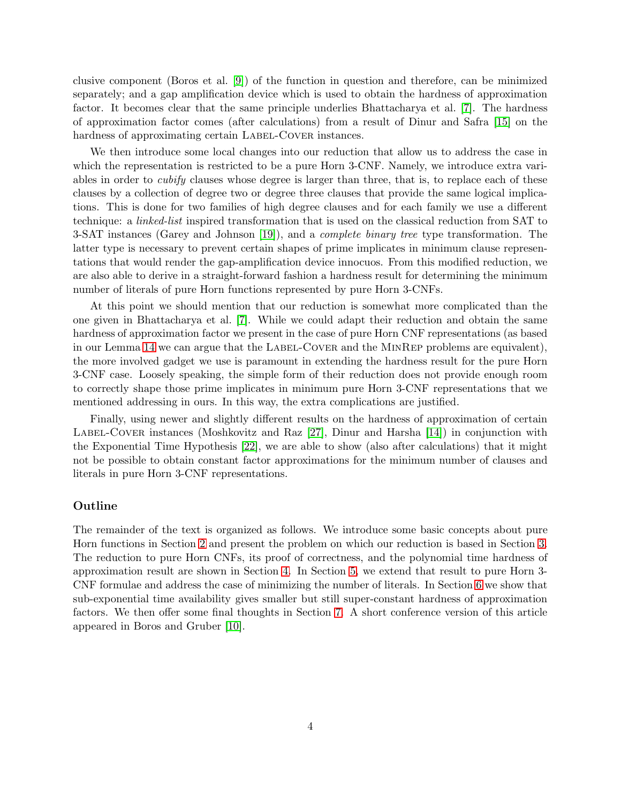clusive component (Boros et al. [\[9\]](#page-37-6)) of the function in question and therefore, can be minimized separately; and a gap amplification device which is used to obtain the hardness of approximation factor. It becomes clear that the same principle underlies Bhattacharya et al. [\[7\]](#page-36-2). The hardness of approximation factor comes (after calculations) from a result of Dinur and Safra [\[15\]](#page-37-7) on the hardness of approximating certain LABEL-COVER instances.

We then introduce some local changes into our reduction that allow us to address the case in which the representation is restricted to be a pure Horn 3-CNF. Namely, we introduce extra variables in order to *cubify* clauses whose degree is larger than three, that is, to replace each of these clauses by a collection of degree two or degree three clauses that provide the same logical implications. This is done for two families of high degree clauses and for each family we use a different technique: a linked-list inspired transformation that is used on the classical reduction from SAT to 3-SAT instances (Garey and Johnson [\[19\]](#page-37-1)), and a *complete binary tree* type transformation. The latter type is necessary to prevent certain shapes of prime implicates in minimum clause representations that would render the gap-amplification device innocuos. From this modified reduction, we are also able to derive in a straight-forward fashion a hardness result for determining the minimum number of literals of pure Horn functions represented by pure Horn 3-CNFs.

At this point we should mention that our reduction is somewhat more complicated than the one given in Bhattacharya et al. [\[7\]](#page-36-2). While we could adapt their reduction and obtain the same hardness of approximation factor we present in the case of pure Horn CNF representations (as based in our Lemma [14](#page-8-0) we can argue that the LABEL-COVER and the MINREP problems are equivalent), the more involved gadget we use is paramount in extending the hardness result for the pure Horn 3-CNF case. Loosely speaking, the simple form of their reduction does not provide enough room to correctly shape those prime implicates in minimum pure Horn 3-CNF representations that we mentioned addressing in ours. In this way, the extra complications are justified.

Finally, using newer and slightly different results on the hardness of approximation of certain LABEL-COVER instances (Moshkovitz and Raz  $[27]$ , Dinur and Harsha  $[14]$ ) in conjunction with the Exponential Time Hypothesis [\[22\]](#page-38-4), we are able to show (also after calculations) that it might not be possible to obtain constant factor approximations for the minimum number of clauses and literals in pure Horn 3-CNF representations.

#### Outline

The remainder of the text is organized as follows. We introduce some basic concepts about pure Horn functions in Section [2](#page-4-0) and present the problem on which our reduction is based in Section [3.](#page-6-0) The reduction to pure Horn CNFs, its proof of correctness, and the polynomial time hardness of approximation result are shown in Section [4.](#page-9-0) In Section [5,](#page-19-0) we extend that result to pure Horn 3- CNF formulae and address the case of minimizing the number of literals. In Section [6](#page-29-0) we show that sub-exponential time availability gives smaller but still super-constant hardness of approximation factors. We then offer some final thoughts in Section [7.](#page-35-0) A short conference version of this article appeared in Boros and Gruber [\[10\]](#page-37-9).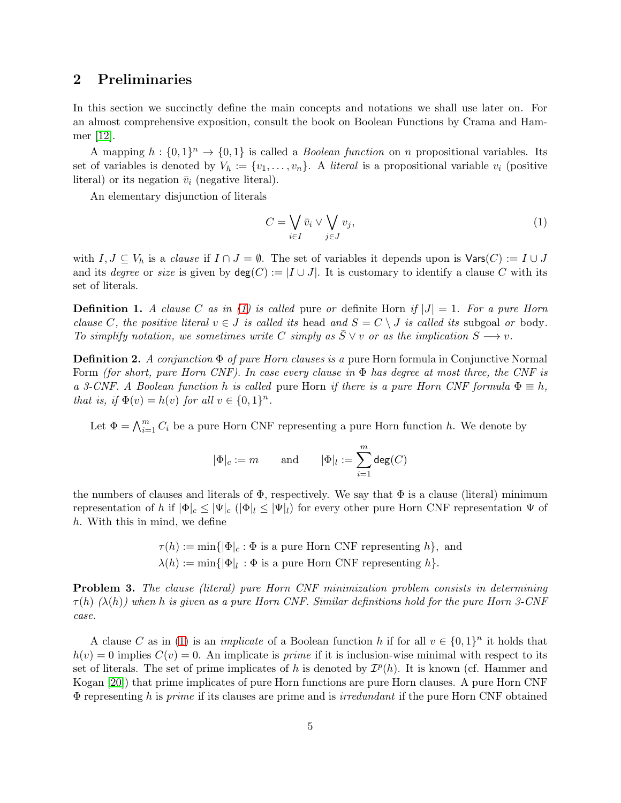# <span id="page-4-0"></span>2 Preliminaries

In this section we succinctly define the main concepts and notations we shall use later on. For an almost comprehensive exposition, consult the book on Boolean Functions by Crama and Hammer [\[12\]](#page-37-5).

A mapping  $h: \{0,1\}^n \to \{0,1\}$  is called a *Boolean function* on *n* propositional variables. Its set of variables is denoted by  $V_h := \{v_1, \ldots, v_n\}$ . A *literal* is a propositional variable  $v_i$  (positive literal) or its negation  $\bar{v}_i$  (negative literal).

An elementary disjunction of literals

<span id="page-4-1"></span>
$$
C = \bigvee_{i \in I} \bar{v}_i \vee \bigvee_{j \in J} v_j,\tag{1}
$$

with  $I, J \subseteq V_h$  is a *clause* if  $I \cap J = \emptyset$ . The set of variables it depends upon is  $\text{Vars}(C) := I \cup J$ and its degree or size is given by  $deg(C) := |I \cup J|$ . It is customary to identify a clause C with its set of literals.

**Definition 1.** A clause C as in [\(1\)](#page-4-1) is called pure or definite Horn if  $|J| = 1$ . For a pure Horn clause C, the positive literal  $v \in J$  is called its head and  $S = C \setminus J$  is called its subgoal or body. To simplify notation, we sometimes write C simply as  $\overline{S} \vee v$  or as the implication  $S \longrightarrow v$ .

**Definition 2.** A conjunction  $\Phi$  of pure Horn clauses is a pure Horn formula in Conjunctive Normal Form (for short, pure Horn CNF). In case every clause in  $\Phi$  has degree at most three, the CNF is a 3-CNF. A Boolean function h is called pure Horn if there is a pure Horn CNF formula  $\Phi \equiv h$ , that is, if  $\Phi(v) = h(v)$  for all  $v \in \{0,1\}^n$ .

Let  $\Phi = \bigwedge_{i=1}^{m} C_i$  be a pure Horn CNF representing a pure Horn function h. We denote by

$$
|\Phi|_c:=m\qquad\text{and}\qquad|\Phi|_l:=\sum_{i=1}^m\deg(C)
$$

the numbers of clauses and literals of  $\Phi$ , respectively. We say that  $\Phi$  is a clause (literal) minimum representation of h if  $|\Phi|_c \leq |\Psi|_c$  ( $|\Phi|_l \leq |\Psi|_l$ ) for every other pure Horn CNF representation  $\Psi$  of h. With this in mind, we define

> $\tau(h) := \min\{|\Phi|_c : \Phi \text{ is a pure Horn CNF representing } h\},\text{ and}$  $\lambda(h) := \min\{|\Phi|_l : \Phi \text{ is a pure Horn CNF representing } h\}.$

Problem 3. The clause (literal) pure Horn CNF minimization problem consists in determining  $\tau(h)$  ( $\lambda(h)$ ) when h is given as a pure Horn CNF. Similar definitions hold for the pure Horn 3-CNF case.

A clause C as in [\(1\)](#page-4-1) is an *implicate* of a Boolean function h if for all  $v \in \{0,1\}^n$  it holds that  $h(v) = 0$  implies  $C(v) = 0$ . An implicate is *prime* if it is inclusion-wise minimal with respect to its set of literals. The set of prime implicates of h is denoted by  $\mathcal{I}^p(h)$ . It is known (cf. Hammer and Kogan [\[20\]](#page-37-10)) that prime implicates of pure Horn functions are pure Horn clauses. A pure Horn CNF  $\Phi$  representing h is prime if its clauses are prime and is *irredundant* if the pure Horn CNF obtained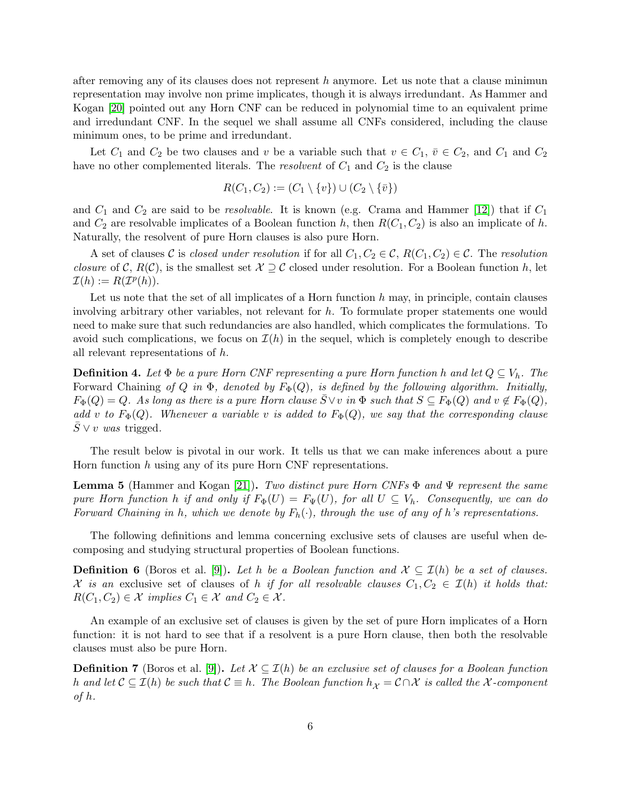after removing any of its clauses does not represent h anymore. Let us note that a clause minimum representation may involve non prime implicates, though it is always irredundant. As Hammer and Kogan [\[20\]](#page-37-10) pointed out any Horn CNF can be reduced in polynomial time to an equivalent prime and irredundant CNF. In the sequel we shall assume all CNFs considered, including the clause minimum ones, to be prime and irredundant.

Let  $C_1$  and  $C_2$  be two clauses and v be a variable such that  $v \in C_1$ ,  $\overline{v} \in C_2$ , and  $C_1$  and  $C_2$ have no other complemented literals. The *resolvent* of  $C_1$  and  $C_2$  is the clause

$$
R(C_1, C_2) := (C_1 \setminus \{v\}) \cup (C_2 \setminus \{\overline{v}\})
$$

and  $C_1$  and  $C_2$  are said to be *resolvable*. It is known (e.g. Crama and Hammer [\[12\]](#page-37-5)) that if  $C_1$ and  $C_2$  are resolvable implicates of a Boolean function h, then  $R(C_1, C_2)$  is also an implicate of h. Naturally, the resolvent of pure Horn clauses is also pure Horn.

A set of clauses C is closed under resolution if for all  $C_1, C_2 \in \mathcal{C}$ ,  $R(C_1, C_2) \in \mathcal{C}$ . The resolution closure of C,  $R(C)$ , is the smallest set  $\mathcal{X} \supseteq C$  closed under resolution. For a Boolean function h, let  $\mathcal{I}(h) := R(\mathcal{I}^p(h)).$ 

Let us note that the set of all implicates of a Horn function  $h$  may, in principle, contain clauses involving arbitrary other variables, not relevant for h. To formulate proper statements one would need to make sure that such redundancies are also handled, which complicates the formulations. To avoid such complications, we focus on  $\mathcal{I}(h)$  in the sequel, which is completely enough to describe all relevant representations of h.

**Definition 4.** Let  $\Phi$  be a pure Horn CNF representing a pure Horn function h and let  $Q \subseteq V_h$ . The Forward Chaining of Q in  $\Phi$ , denoted by  $F_{\Phi}(Q)$ , is defined by the following algorithm. Initially,  $F_{\Phi}(Q) = Q$ . As long as there is a pure Horn clause  $\overline{S} \vee v$  in  $\Phi$  such that  $S \subseteq F_{\Phi}(Q)$  and  $v \notin F_{\Phi}(Q)$ , add v to  $F_{\Phi}(Q)$ . Whenever a variable v is added to  $F_{\Phi}(Q)$ , we say that the corresponding clause  $S \vee v$  was trigged.

The result below is pivotal in our work. It tells us that we can make inferences about a pure Horn function h using any of its pure Horn CNF representations.

<span id="page-5-0"></span>**Lemma 5** (Hammer and Kogan [\[21\]](#page-37-4)). Two distinct pure Horn CNFs  $\Phi$  and  $\Psi$  represent the same pure Horn function h if and only if  $F_{\Phi}(U) = F_{\Psi}(U)$ , for all  $U \subseteq V_h$ . Consequently, we can do Forward Chaining in h, which we denote by  $F_h(\cdot)$ , through the use of any of h's representations.

The following definitions and lemma concerning exclusive sets of clauses are useful when decomposing and studying structural properties of Boolean functions.

**Definition 6** (Boros et al. [\[9\]](#page-37-6)). Let h be a Boolean function and  $\mathcal{X} \subseteq \mathcal{I}(h)$  be a set of clauses. X is an exclusive set of clauses of h if for all resolvable clauses  $C_1, C_2 \in \mathcal{I}(h)$  it holds that:  $R(C_1, C_2) \in \mathcal{X}$  implies  $C_1 \in \mathcal{X}$  and  $C_2 \in \mathcal{X}$ .

An example of an exclusive set of clauses is given by the set of pure Horn implicates of a Horn function: it is not hard to see that if a resolvent is a pure Horn clause, then both the resolvable clauses must also be pure Horn.

<span id="page-5-1"></span>**Definition 7** (Boros et al. [\[9\]](#page-37-6)). Let  $X \subseteq \mathcal{I}(h)$  be an exclusive set of clauses for a Boolean function h and let  $C \subseteq \mathcal{I}(h)$  be such that  $C \equiv h$ . The Boolean function  $h_{\mathcal{X}} = C \cap \mathcal{X}$  is called the X-component of h.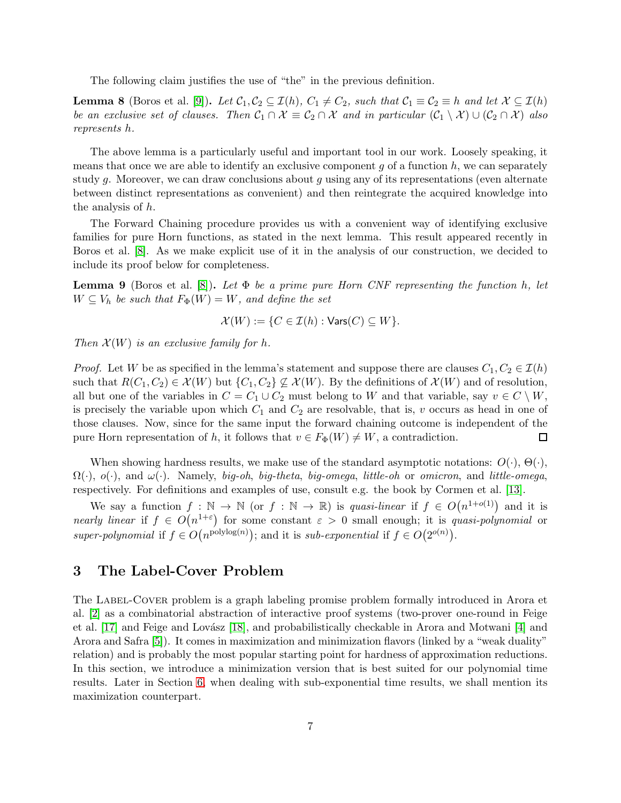The following claim justifies the use of "the" in the previous definition.

<span id="page-6-2"></span>**Lemma 8** (Boros et al. [\[9\]](#page-37-6)). Let  $C_1, C_2 \subseteq \mathcal{I}(h)$ ,  $C_1 \neq C_2$ , such that  $C_1 \equiv C_2 \equiv h$  and let  $\mathcal{X} \subseteq \mathcal{I}(h)$ be an exclusive set of clauses. Then  $C_1 \cap \mathcal{X} \equiv C_2 \cap \mathcal{X}$  and in particular  $(C_1 \setminus \mathcal{X}) \cup (C_2 \cap \mathcal{X})$  also represents h.

The above lemma is a particularly useful and important tool in our work. Loosely speaking, it means that once we are able to identify an exclusive component  $g$  of a function  $h$ , we can separately study g. Moreover, we can draw conclusions about g using any of its representations (even alternate between distinct representations as convenient) and then reintegrate the acquired knowledge into the analysis of h.

The Forward Chaining procedure provides us with a convenient way of identifying exclusive families for pure Horn functions, as stated in the next lemma. This result appeared recently in Boros et al. [\[8\]](#page-37-3). As we make explicit use of it in the analysis of our construction, we decided to include its proof below for completeness.

<span id="page-6-1"></span>**Lemma 9** (Boros et al. [\[8\]](#page-37-3)). Let  $\Phi$  be a prime pure Horn CNF representing the function h, let  $W \subseteq V_h$  be such that  $F_{\Phi}(W) = W$ , and define the set

$$
\mathcal{X}(W) := \{ C \in \mathcal{I}(h) : \text{Vars}(C) \subseteq W \}.
$$

Then  $\mathcal{X}(W)$  is an exclusive family for h.

*Proof.* Let W be as specified in the lemma's statement and suppose there are clauses  $C_1, C_2 \in \mathcal{I}(h)$ such that  $R(C_1, C_2) \in \mathcal{X}(W)$  but  $\{C_1, C_2\} \not\subseteq \mathcal{X}(W)$ . By the definitions of  $\mathcal{X}(W)$  and of resolution, all but one of the variables in  $C = C_1 \cup C_2$  must belong to W and that variable, say  $v \in C \setminus W$ , is precisely the variable upon which  $C_1$  and  $C_2$  are resolvable, that is, v occurs as head in one of those clauses. Now, since for the same input the forward chaining outcome is independent of the pure Horn representation of h, it follows that  $v \in F_{\Phi}(W) \neq W$ , a contradiction. □

When showing hardness results, we make use of the standard asymptotic notations:  $O(\cdot)$ ,  $\Theta(\cdot)$ ,  $\Omega(\cdot)$ ,  $o(\cdot)$ , and  $\omega(\cdot)$ . Namely, big-oh, big-theta, big-omega, little-oh or omicron, and little-omega, respectively. For definitions and examples of use, consult e.g. the book by Cormen et al. [\[13\]](#page-37-11).

We say a function  $f : \mathbb{N} \to \mathbb{N}$  (or  $f : \mathbb{N} \to \mathbb{R}$ ) is quasi-linear if  $f \in O(n^{1+o(1)})$  and it is nearly linear if  $f \in O(n^{1+\epsilon})$  for some constant  $\varepsilon > 0$  small enough; it is quasi-polynomial or super-polynomial if  $f \in O(n^{\text{polylog}(n)})$ ; and it is sub-exponential if  $f \in O(2^{o(n)})$ .

# <span id="page-6-0"></span>3 The Label-Cover Problem

The LABEL-COVER problem is a graph labeling promise problem formally introduced in Arora et al. [\[2\]](#page-36-3) as a combinatorial abstraction of interactive proof systems (two-prover one-round in Feige et al.  $[17]$  and Feige and Lovász  $[18]$ , and probabilistically checkable in Arora and Motwani  $[4]$  and Arora and Safra [\[5\]](#page-36-5)). It comes in maximization and minimization flavors (linked by a "weak duality" relation) and is probably the most popular starting point for hardness of approximation reductions. In this section, we introduce a minimization version that is best suited for our polynomial time results. Later in Section [6,](#page-29-0) when dealing with sub-exponential time results, we shall mention its maximization counterpart.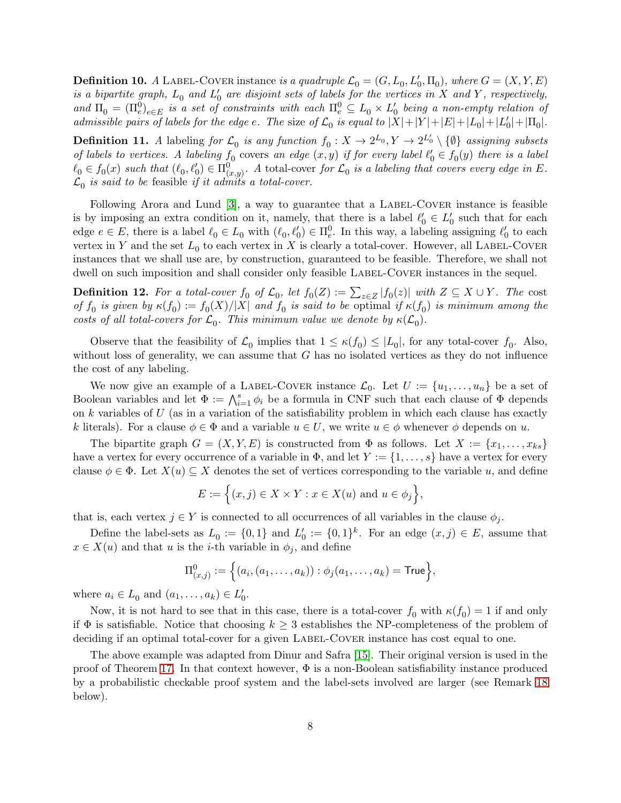<span id="page-7-1"></span>**Definition 10.** A LABEL-COVER instance is a quadruple  $\mathcal{L}_0 = (G, L_0, L'_0, \Pi_0)$ , where  $G = (X, Y, E)$ is a bipartite graph,  $L_0$  and  $L'_0$  are disjoint sets of labels for the vertices in X and Y, respectively, and  $\Pi_0 = (\Pi_e^0)_{e \in E}$  is a set of constraints with each  $\Pi_e^0 \subseteq L_0 \times L_0'$  being a non-empty relation of admissible pairs of labels for the edge e. The size of  $\mathcal{L}_0$  is equal to  $|X|+|Y|+|E|+|L_0|+|L'_0|+|\Pi_0|$ .

<span id="page-7-0"></span>**Definition 11.** A labeling for  $\mathcal{L}_0$  is any function  $f_0: X \to 2^{L_0}, Y \to 2^{L'_0} \setminus {\emptyset}$  assigning subsets of labels to vertices. A labeling  $f_0$  covers an edge  $(x, y)$  if for every label  $\ell'_0 \in f_0(y)$  there is a label  $\ell_0 \in f_0(x)$  such that  $(\ell_0, \ell'_0) \in \Pi_{(x,y)}^0$ . A total-cover for  $\mathcal{L}_0$  is a labeling that covers every edge in E.  $\mathcal{L}_0$  is said to be feasible if it admits a total-cover.

Following Arora and Lund  $[3]$ , a way to guarantee that a LABEL-COVER instance is feasible is by imposing an extra condition on it, namely, that there is a label  $\ell'_0 \in L'_0$  such that for each edge  $e \in E$ , there is a label  $\ell_0 \in L_0$  with  $(\ell_0, \ell'_0) \in \Pi_e^0$ . In this way, a labeling assigning  $\ell'_0$  to each vertex in Y and the set  $L_0$  to each vertex in X is clearly a total-cover. However, all LABEL-COVER instances that we shall use are, by construction, guaranteed to be feasible. Therefore, we shall not dwell on such imposition and shall consider only feasible LABEL-COVER instances in the sequel.

**Definition 12.** For a total-cover  $f_0$  of  $\mathcal{L}_0$ , let  $f_0(Z) := \sum_{z \in Z} |f_0(z)|$  with  $Z \subseteq X \cup Y$ . The cost of  $f_0$  is given by  $\kappa(f_0) := f_0(X)/|X|$  and  $f_0$  is said to be optimal if  $\kappa(f_0)$  is minimum among the costs of all total-covers for  $\mathcal{L}_0$ . This minimum value we denote by  $\kappa(\mathcal{L}_0)$ .

Observe that the feasibility of  $\mathcal{L}_0$  implies that  $1 \leq \kappa(f_0) \leq |L_0|$ , for any total-cover  $f_0$ . Also, without loss of generality, we can assume that  $G$  has no isolated vertices as they do not influence the cost of any labeling.

We now give an example of a LABEL-COVER instance  $\mathcal{L}_0$ . Let  $U := \{u_1, \ldots, u_n\}$  be a set of Boolean variables and let  $\Phi := \bigwedge_{i=1}^s \phi_i$  be a formula in CNF such that each clause of  $\Phi$  depends on  $k$  variables of  $U$  (as in a variation of the satisfiability problem in which each clause has exactly k literals). For a clause  $\phi \in \Phi$  and a variable  $u \in U$ , we write  $u \in \phi$  whenever  $\phi$  depends on u.

The bipartite graph  $G = (X, Y, E)$  is constructed from  $\Phi$  as follows. Let  $X := \{x_1, \ldots, x_{ks}\}\$ have a vertex for every occurrence of a variable in  $\Phi$ , and let  $Y := \{1, \ldots, s\}$  have a vertex for every clause  $\phi \in \Phi$ . Let  $X(u) \subseteq X$  denotes the set of vertices corresponding to the variable u, and define

$$
E := \Big\{ (x, j) \in X \times Y : x \in X(u) \text{ and } u \in \phi_j \Big\},\
$$

that is, each vertex  $j \in Y$  is connected to all occurrences of all variables in the clause  $\phi_i$ .

Define the label-sets as  $L_0 := \{0, 1\}$  and  $L'_0 := \{0, 1\}^k$ . For an edge  $(x, j) \in E$ , assume that  $x \in X(u)$  and that u is the *i*-th variable in  $\phi_i$ , and define

$$
\Pi_{(x,j)}^0 := \Big\{ (a_i, (a_1, \ldots, a_k)) : \phi_j(a_1, \ldots, a_k) = \mathsf{True} \Big\},\,
$$

where  $a_i \in L_0$  and  $(a_1, \ldots, a_k) \in L'_0$ .

Now, it is not hard to see that in this case, there is a total-cover  $f_0$  with  $\kappa(f_0) = 1$  if and only if  $\Phi$  is satisfiable. Notice that choosing  $k \geq 3$  establishes the NP-completeness of the problem of deciding if an optimal total-cover for a given LABEL-COVER instance has cost equal to one.

The above example was adapted from Dinur and Safra [\[15\]](#page-37-7). Their original version is used in the proof of Theorem [17.](#page-8-1) In that context however,  $\Phi$  is a non-Boolean satisfiability instance produced by a probabilistic checkable proof system and the label-sets involved are larger (see Remark [18](#page-8-2) below).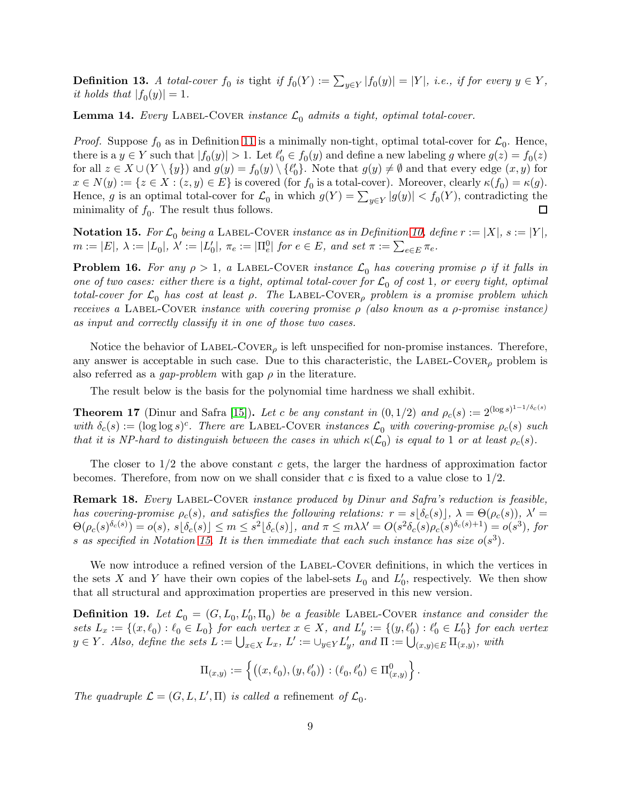**Definition 13.** A total-cover  $f_0$  is tight if  $f_0(Y) := \sum_{y \in Y} |f_0(y)| = |Y|$ , i.e., if for every  $y \in Y$ , it holds that  $|f_0(y)| = 1$ .

<span id="page-8-0"></span>**Lemma 14.** Every LABEL-COVER instance  $\mathcal{L}_0$  admits a tight, optimal total-cover.

*Proof.* Suppose  $f_0$  as in Definition [11](#page-7-0) is a minimally non-tight, optimal total-cover for  $\mathcal{L}_0$ . Hence, there is a  $y \in Y$  such that  $|f_0(y)| > 1$ . Let  $\ell'_0 \in f_0(y)$  and define a new labeling g where  $g(z) = f_0(z)$ for all  $z \in X \cup (Y \setminus \{y\})$  and  $g(y) = f_0(y) \setminus \{\ell'_0\}$ . Note that  $g(y) \neq \emptyset$  and that every edge  $(x, y)$  for  $x \in N(y) := \{ z \in X : (z, y) \in E \}$  is covered (for  $f_0$  is a total-cover). Moreover, clearly  $\kappa(f_0) = \kappa(g)$ . Hence, g is an optimal total-cover for  $\mathcal{L}_0$  in which  $g(Y) = \sum_{y \in Y} |g(y)| < f_0(Y)$ , contradicting the  $\Box$ minimality of  $f_0$ . The result thus follows.

<span id="page-8-3"></span>**Notation 15.** For  $\mathcal{L}_0$  being a LABEL-COVER instance as in Definition [10,](#page-7-1) define  $r := |X|$ ,  $s := |Y|$ ,  $m:=|E|, \ \lambda:=|L_0|, \ \lambda':=|L_0'|, \ \pi_e:=|\Pi_e^0| \ \textit{for} \ e\in E, \ \textit{and set} \ \pi:=\sum_{e\in E} \pi_e.$ 

**Problem 16.** For any  $\rho > 1$ , a LABEL-COVER instance  $\mathcal{L}_0$  has covering promise  $\rho$  if it falls in one of two cases: either there is a tight, optimal total-cover for  $\mathcal{L}_0$  of cost 1, or every tight, optimal total-cover for  $\mathcal{L}_0$  has cost at least  $\rho$ . The LABEL-COVER<sub> $\rho$ </sub> problem is a promise problem which receives a LABEL-COVER instance with covering promise  $\rho$  (also known as a  $\rho$ -promise instance) as input and correctly classify it in one of those two cases.

Notice the behavior of  $\text{LABEL-Cover}_{\rho}$  is left unspecified for non-promise instances. Therefore, any answer is acceptable in such case. Due to this characteristic, the LABEL-COVER<sub>p</sub> problem is also referred as a *gap-problem* with gap  $\rho$  in the literature.

The result below is the basis for the polynomial time hardness we shall exhibit.

<span id="page-8-1"></span>**Theorem 17** (Dinur and Safra [\[15\]](#page-37-7)). Let c be any constant in  $(0, 1/2)$  and  $\rho_c(s) := 2^{(\log s)^{1-1/\delta_c(s)}}$ with  $\delta_c(s) := (\log \log s)^c$ . There are LABEL-COVER instances  $\mathcal{L}_0$  with covering-promise  $\rho_c(s)$  such that it is NP-hard to distinguish between the cases in which  $\kappa(\mathcal{L}_0)$  is equal to 1 or at least  $\rho_c(s)$ .

The closer to  $1/2$  the above constant c gets, the larger the hardness of approximation factor becomes. Therefore, from now on we shall consider that c is fixed to a value close to  $1/2$ .

<span id="page-8-2"></span>**Remark 18.** Every LABEL-COVER instance produced by Dinur and Safra's reduction is feasible, has covering-promise  $\rho_c(s)$ , and satisfies the following relations:  $r = s[\delta_c(s)]$ ,  $\lambda = \Theta(\rho_c(s))$ ,  $\lambda' =$  $\Theta(\rho_c(s)^{\delta_c(s)}) = o(s), \ s\lfloor \delta_c(s) \rfloor \leq m \leq s^2\lfloor \delta_c(s) \rfloor, \ and \ \pi \leq m\lambda\lambda' = O(s^2\delta_c(s)\rho_c(s)^{\delta_c(s)+1}) = o(s^3), \ for$ s as specified in Notation [15.](#page-8-3) It is then immediate that each such instance has size  $o(s^3)$ .

We now introduce a refined version of the LABEL-COVER definitions, in which the vertices in the sets X and Y have their own copies of the label-sets  $L_0$  and  $L'_0$ , respectively. We then show that all structural and approximation properties are preserved in this new version.

<span id="page-8-4"></span>**Definition 19.** Let  $\mathcal{L}_0 = (G, L_0, L'_0, \Pi_0)$  be a feasible LABEL-COVER instance and consider the sets  $L_x := \{(x, \ell_0) : \ell_0 \in L_0\}$  for each vertex  $x \in X$ , and  $L'_y := \{(y, \ell'_0) : \ell'_0 \in L'_0\}$  for each vertex  $y \in Y$ . Also, define the sets  $L := \bigcup_{x \in X} L_x$ ,  $L' := \bigcup_{y \in Y} L'_y$ , and  $\Pi := \bigcup_{(x,y) \in E} \Pi_{(x,y)}$ , with

$$
\Pi_{(x,y)} := \left\{ \big( (x,\ell_0), (y,\ell'_0) \big) : (\ell_0,\ell'_0) \in \Pi^0_{(x,y)} \right\}.
$$

The quadruple  $\mathcal{L} = (G, L, L', \Pi)$  is called a refinement of  $\mathcal{L}_0$ .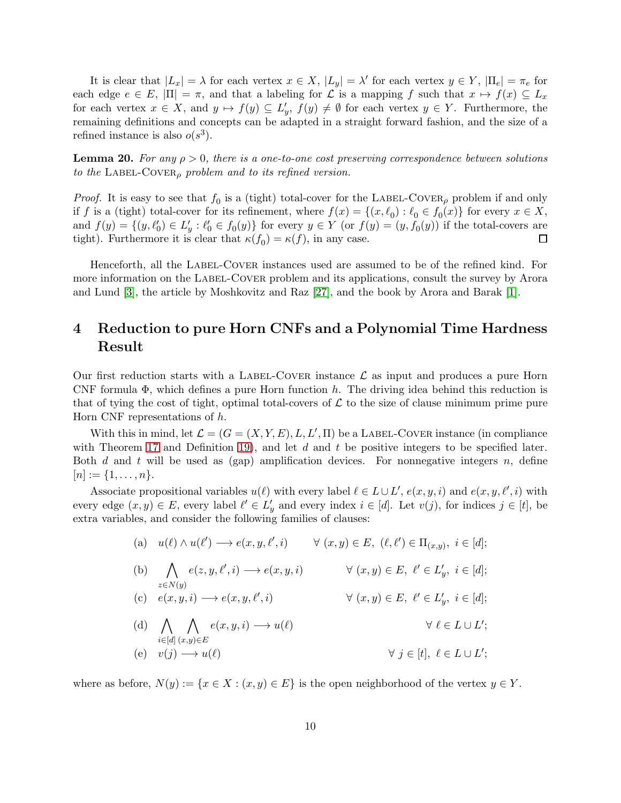It is clear that  $|L_x| = \lambda$  for each vertex  $x \in X$ ,  $|L_y| = \lambda'$  for each vertex  $y \in Y$ ,  $|\Pi_e| = \pi_e$  for each edge  $e \in E$ ,  $|\Pi| = \pi$ , and that a labeling for  $\mathcal L$  is a mapping f such that  $x \mapsto f(x) \subseteq L_x$ for each vertex  $x \in X$ , and  $y \mapsto f(y) \subseteq L'_y$ ,  $f(y) \neq \emptyset$  for each vertex  $y \in Y$ . Furthermore, the remaining definitions and concepts can be adapted in a straight forward fashion, and the size of a refined instance is also  $o(s^3)$ .

**Lemma 20.** For any  $\rho > 0$ , there is a one-to-one cost preserving correspondence between solutions to the LABEL-COVER<sub> $\rho$ </sub> problem and to its refined version.

*Proof.* It is easy to see that  $f_0$  is a (tight) total-cover for the LABEL-COVER<sub> $\rho$ </sub> problem if and only if f is a (tight) total-cover for its refinement, where  $f(x) = \{(x, \ell_0) : \ell_0 \in f_0(x)\}\)$  for every  $x \in X$ , and  $f(y) = \{(y, \ell'_0) \in L'_y : \ell'_0 \in f_0(y)\}\$  for every  $y \in Y$  (or  $f(y) = (y, f_0(y))$  if the total-covers are  $\Box$ tight). Furthermore it is clear that  $\kappa(f_0) = \kappa(f)$ , in any case.

Henceforth, all the LABEL-COVER instances used are assumed to be of the refined kind. For more information on the LABEL-COVER problem and its applications, consult the survey by Arora and Lund [\[3\]](#page-36-6), the article by Moshkovitz and Raz [\[27\]](#page-38-7), and the book by Arora and Barak [\[1\]](#page-36-0).

# <span id="page-9-0"></span>4 Reduction to pure Horn CNFs and a Polynomial Time Hardness Result

Our first reduction starts with a LABEL-COVER instance  $\mathcal L$  as input and produces a pure Horn CNF formula  $\Phi$ , which defines a pure Horn function h. The driving idea behind this reduction is that of tying the cost of tight, optimal total-covers of  $\mathcal L$  to the size of clause minimum prime pure Horn CNF representations of h.

With this in mind, let  $\mathcal{L} = (G = (X, Y, E), L, L', \Pi)$  be a LABEL-COVER instance (in compliance with Theorem [17](#page-8-1) and Definition [19\)](#page-8-4), and let  $d$  and  $t$  be positive integers to be specified later. Both d and t will be used as (gap) amplification devices. For nonnegative integers  $n$ , define  $[n] := \{1, \ldots, n\}.$ 

Associate propositional variables  $u(\ell)$  with every label  $\ell \in L \cup L'$ ,  $e(x, y, i)$  and  $e(x, y, \ell', i)$  with every edge  $(x, y) \in E$ , every label  $\ell' \in L'_y$  and every index  $i \in [d]$ . Let  $v(j)$ , for indices  $j \in [t]$ , be extra variables, and consider the following families of clauses:

- $(a) \quad u(\ell) \wedge u(\ell') \longrightarrow e(x, y, \ell', i) \qquad \forall \ (x, y) \in E, \ (\ell, \ell') \in \Pi_{(x, y)}, \ i \in [d];$
- (b)  $\Lambda$  $z \in N(y)$  $e(z, y, \ell', i) \longrightarrow e(x, y, i) \qquad \forall (x, y) \in E, \ \ell' \in L'_y, \ i \in [d];$ (c)  $e(x, y, i) \longrightarrow e(x, y, \ell', i)$   $\forall (x, y) \in E, \ell' \in L'_y, i \in [d];$

(d) 
$$
\bigwedge_{i \in [d]} \bigwedge_{(x,y) \in E} e(x, y, i) \longrightarrow u(\ell)
$$
  $\forall \ell \in L \cup L';$   
\n(e)  $v(j) \longrightarrow u(\ell)$   $\forall j \in [t], \ell \in L \cup L';$ 

where as before,  $N(y) := \{x \in X : (x, y) \in E\}$  is the open neighborhood of the vertex  $y \in Y$ .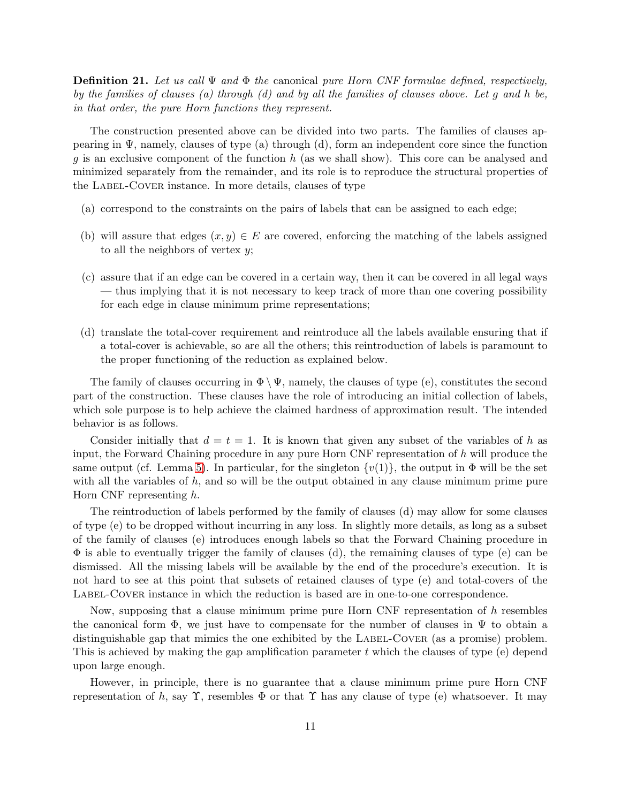<span id="page-10-0"></span>**Definition 21.** Let us call  $\Psi$  and  $\Phi$  the canonical pure Horn CNF formulae defined, respectively, by the families of clauses (a) through  $(d)$  and by all the families of clauses above. Let g and h be, in that order, the pure Horn functions they represent.

The construction presented above can be divided into two parts. The families of clauses appearing in  $\Psi$ , namely, clauses of type (a) through (d), form an independent core since the function g is an exclusive component of the function h (as we shall show). This core can be analysed and minimized separately from the remainder, and its role is to reproduce the structural properties of the LABEL-COVER instance. In more details, clauses of type

- (a) correspond to the constraints on the pairs of labels that can be assigned to each edge;
- (b) will assure that edges  $(x, y) \in E$  are covered, enforcing the matching of the labels assigned to all the neighbors of vertex  $y$ ;
- (c) assure that if an edge can be covered in a certain way, then it can be covered in all legal ways — thus implying that it is not necessary to keep track of more than one covering possibility for each edge in clause minimum prime representations;
- (d) translate the total-cover requirement and reintroduce all the labels available ensuring that if a total-cover is achievable, so are all the others; this reintroduction of labels is paramount to the proper functioning of the reduction as explained below.

The family of clauses occurring in  $\Phi \setminus \Psi$ , namely, the clauses of type (e), constitutes the second part of the construction. These clauses have the role of introducing an initial collection of labels, which sole purpose is to help achieve the claimed hardness of approximation result. The intended behavior is as follows.

Consider initially that  $d = t = 1$ . It is known that given any subset of the variables of h as input, the Forward Chaining procedure in any pure Horn CNF representation of  $h$  will produce the same output (cf. Lemma [5\)](#page-5-0). In particular, for the singleton  $\{v(1)\}\)$ , the output in  $\Phi$  will be the set with all the variables of  $h$ , and so will be the output obtained in any clause minimum prime pure Horn CNF representing h.

The reintroduction of labels performed by the family of clauses (d) may allow for some clauses of type (e) to be dropped without incurring in any loss. In slightly more details, as long as a subset of the family of clauses (e) introduces enough labels so that the Forward Chaining procedure in  $\Phi$  is able to eventually trigger the family of clauses (d), the remaining clauses of type (e) can be dismissed. All the missing labels will be available by the end of the procedure's execution. It is not hard to see at this point that subsets of retained clauses of type (e) and total-covers of the LABEL-COVER instance in which the reduction is based are in one-to-one correspondence.

Now, supposing that a clause minimum prime pure Horn CNF representation of h resembles the canonical form  $\Phi$ , we just have to compensate for the number of clauses in  $\Psi$  to obtain a distinguishable gap that mimics the one exhibited by the LABEL-COVER (as a promise) problem. This is achieved by making the gap amplification parameter t which the clauses of type (e) depend upon large enough.

However, in principle, there is no guarantee that a clause minimum prime pure Horn CNF representation of h, say  $\Upsilon$ , resembles  $\Phi$  or that  $\Upsilon$  has any clause of type (e) whatsoever. It may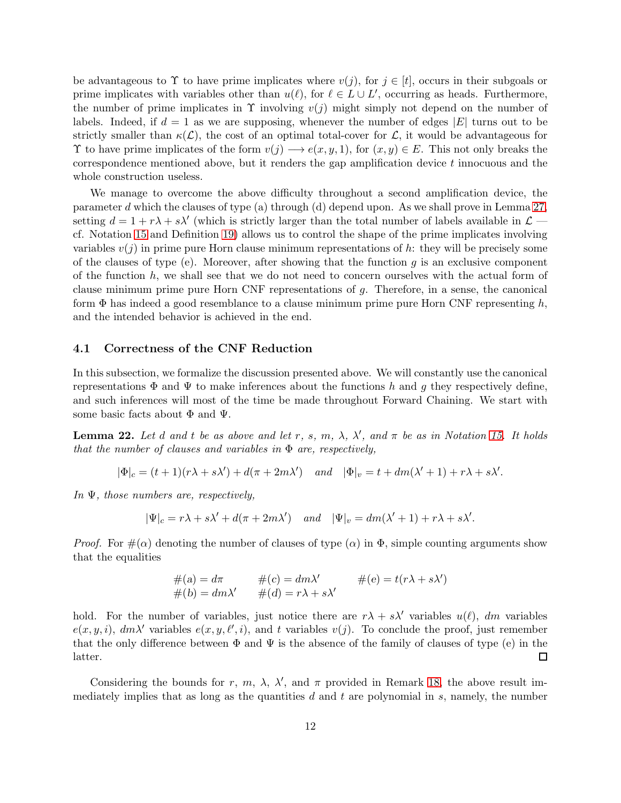be advantageous to  $\Upsilon$  to have prime implicates where  $v(j)$ , for  $j \in [t]$ , occurs in their subgoals or prime implicates with variables other than  $u(\ell)$ , for  $\ell \in L \cup L'$ , occurring as heads. Furthermore, the number of prime implicates in  $\Upsilon$  involving  $v(j)$  might simply not depend on the number of labels. Indeed, if  $d = 1$  as we are supposing, whenever the number of edges |E| turns out to be strictly smaller than  $\kappa(\mathcal{L})$ , the cost of an optimal total-cover for  $\mathcal{L}$ , it would be advantageous for  $\Upsilon$  to have prime implicates of the form  $v(j) \longrightarrow e(x, y, 1)$ , for  $(x, y) \in E$ . This not only breaks the correspondence mentioned above, but it renders the gap amplification device t innocuous and the whole construction useless.

We manage to overcome the above difficulty throughout a second amplification device, the parameter d which the clauses of type (a) through (d) depend upon. As we shall prove in Lemma [27,](#page-13-0) setting  $d = 1 + r\lambda + s\lambda'$  (which is strictly larger than the total number of labels available in  $\mathcal{L}$ cf. Notation [15](#page-8-3) and Definition [19\)](#page-8-4) allows us to control the shape of the prime implicates involving variables  $v(j)$  in prime pure Horn clause minimum representations of h: they will be precisely some of the clauses of type (e). Moreover, after showing that the function  $q$  is an exclusive component of the function  $h$ , we shall see that we do not need to concern ourselves with the actual form of clause minimum prime pure Horn CNF representations of g. Therefore, in a sense, the canonical form  $\Phi$  has indeed a good resemblance to a clause minimum prime pure Horn CNF representing h, and the intended behavior is achieved in the end.

#### 4.1 Correctness of the CNF Reduction

In this subsection, we formalize the discussion presented above. We will constantly use the canonical representations  $\Phi$  and  $\Psi$  to make inferences about the functions h and g they respectively define, and such inferences will most of the time be made throughout Forward Chaining. We start with some basic facts about  $\Phi$  and  $\Psi$ .

<span id="page-11-0"></span>**Lemma 22.** Let d and t be as above and let r, s, m,  $\lambda$ ,  $\lambda'$ , and  $\pi$  be as in Notation [15.](#page-8-3) It holds that the number of clauses and variables in  $\Phi$  are, respectively,

$$
|\Phi|_c = (t+1)(r\lambda + s\lambda') + d(\pi + 2m\lambda') \quad and \quad |\Phi|_v = t + dm(\lambda' + 1) + r\lambda + s\lambda'.
$$

In  $\Psi$ , those numbers are, respectively,

$$
|\Psi|_c = r\lambda + s\lambda' + d(\pi + 2m\lambda')
$$
 and  $|\Psi|_v = dm(\lambda' + 1) + r\lambda + s\lambda'.$ 

*Proof.* For  $\#(\alpha)$  denoting the number of clauses of type  $(\alpha)$  in  $\Phi$ , simple counting arguments show that the equalities

$$
#(a) = d\pi \n#(c) = dm\lambda' \n#(e) = t(r\lambda + s\lambda')
$$
  
\n
$$
#(b) = dm\lambda' \n#(d) = r\lambda + s\lambda'
$$

hold. For the number of variables, just notice there are  $r\lambda + s\lambda'$  variables  $u(\ell)$ , dm variables  $e(x, y, i)$ ,  $dm\lambda'$  variables  $e(x, y, \ell', i)$ , and t variables  $v(j)$ . To conclude the proof, just remember that the only difference between  $\Phi$  and  $\Psi$  is the absence of the family of clauses of type (e) in the  $\Box$ latter.

Considering the bounds for r, m,  $\lambda$ ,  $\lambda'$ , and  $\pi$  provided in Remark [18,](#page-8-2) the above result immediately implies that as long as the quantities  $d$  and  $t$  are polynomial in  $s$ , namely, the number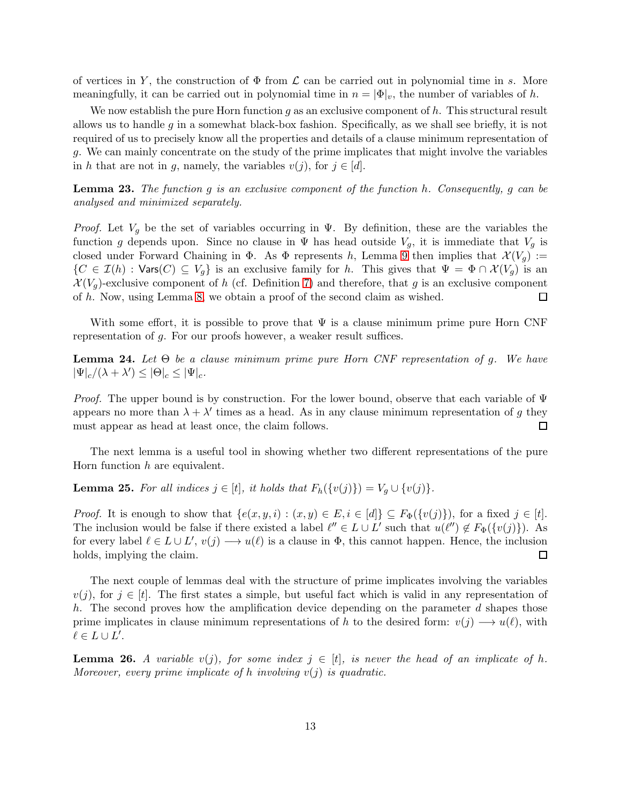of vertices in Y, the construction of  $\Phi$  from  $\mathcal L$  can be carried out in polynomial time in s. More meaningfully, it can be carried out in polynomial time in  $n = |\Phi|_v$ , the number of variables of h.

We now establish the pure Horn function  $g$  as an exclusive component of  $h$ . This structural result allows us to handle q in a somewhat black-box fashion. Specifically, as we shall see briefly, it is not required of us to precisely know all the properties and details of a clause minimum representation of g. We can mainly concentrate on the study of the prime implicates that might involve the variables in h that are not in g, namely, the variables  $v(j)$ , for  $j \in [d]$ .

<span id="page-12-2"></span>**Lemma 23.** The function g is an exclusive component of the function h. Consequently, g can be analysed and minimized separately.

*Proof.* Let  $V_q$  be the set of variables occurring in  $\Psi$ . By definition, these are the variables the function g depends upon. Since no clause in  $\Psi$  has head outside  $V_g$ , it is immediate that  $V_g$  is closed under Forward Chaining in  $\Phi$ . As  $\Phi$  represents h, Lemma [9](#page-6-1) then implies that  $\mathcal{X}(V_g) :=$  $\{C \in \mathcal{I}(h) : \text{Vars}(C) \subseteq V_q\}$  is an exclusive family for h. This gives that  $\Psi = \Phi \cap \mathcal{X}(V_q)$  is an  $\mathcal{X}(V_q)$ -exclusive component of h (cf. Definition [7\)](#page-5-1) and therefore, that g is an exclusive component of h. Now, using Lemma [8,](#page-6-2) we obtain a proof of the second claim as wished. 囗

With some effort, it is possible to prove that  $\Psi$  is a clause minimum prime pure Horn CNF representation of g. For our proofs however, a weaker result suffices.

<span id="page-12-3"></span>**Lemma 24.** Let  $\Theta$  be a clause minimum prime pure Horn CNF representation of g. We have  $|\Psi|_c/(\lambda + \lambda') \leq |\Theta|_c \leq |\Psi|_c.$ 

*Proof.* The upper bound is by construction. For the lower bound, observe that each variable of  $\Psi$ appears no more than  $\lambda + \lambda'$  times as a head. As in any clause minimum representation of g they must appear as head at least once, the claim follows.  $\Box$ 

The next lemma is a useful tool in showing whether two different representations of the pure Horn function h are equivalent.

<span id="page-12-0"></span>**Lemma 25.** For all indices  $j \in [t]$ , it holds that  $F_h(\{v(j)\}) = V_q \cup \{v(j)\}.$ 

*Proof.* It is enough to show that  $\{e(x, y, i) : (x, y) \in E, i \in [d]\} \subseteq F_{\Phi}(\{v(j)\})$ , for a fixed  $j \in [t]$ . The inclusion would be false if there existed a label  $\ell'' \in L \cup L'$  such that  $u(\ell'') \notin F_{\Phi}(\{v(j)\})$ . As for every label  $\ell \in L \cup L'$ ,  $v(j) \longrightarrow u(\ell)$  is a clause in  $\Phi$ , this cannot happen. Hence, the inclusion holds, implying the claim.  $\Box$ 

The next couple of lemmas deal with the structure of prime implicates involving the variables  $v(j)$ , for  $j \in [t]$ . The first states a simple, but useful fact which is valid in any representation of h. The second proves how the amplification device depending on the parameter  $d$  shapes those prime implicates in clause minimum representations of h to the desired form:  $v(j) \rightarrow u(\ell)$ , with  $\ell \in L \cup L'.$ 

<span id="page-12-1"></span>**Lemma 26.** A variable  $v(j)$ , for some index  $j \in [t]$ , is never the head of an implicate of h. Moreover, every prime implicate of h involving  $v(j)$  is quadratic.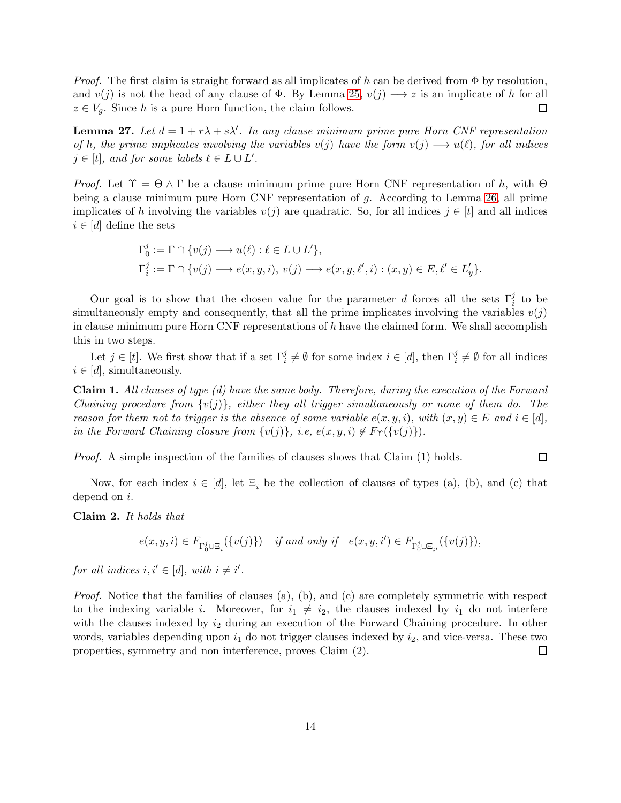*Proof.* The first claim is straight forward as all implicates of h can be derived from  $\Phi$  by resolution, and  $v(j)$  is not the head of any clause of  $\Phi$ . By Lemma [25,](#page-12-0)  $v(j) \rightarrow z$  is an implicate of h for all  $\Box$  $z \in V_q$ . Since h is a pure Horn function, the claim follows.

<span id="page-13-0"></span>**Lemma 27.** Let  $d = 1 + r\lambda + s\lambda'$ . In any clause minimum prime pure Horn CNF representation of h, the prime implicates involving the variables  $v(j)$  have the form  $v(j) \rightarrow u(\ell)$ , for all indices  $j \in [t]$ , and for some labels  $\ell \in L \cup L'$ .

*Proof.* Let  $\Upsilon = \Theta \wedge \Gamma$  be a clause minimum prime pure Horn CNF representation of h, with  $\Theta$ being a clause minimum pure Horn CNF representation of g. According to Lemma [26,](#page-12-1) all prime implicates of h involving the variables  $v(j)$  are quadratic. So, for all indices  $j \in [t]$  and all indices  $i \in [d]$  define the sets

$$
\Gamma_0^j := \Gamma \cap \{v(j) \longrightarrow u(\ell) : \ell \in L \cup L'\},\
$$
  

$$
\Gamma_i^j := \Gamma \cap \{v(j) \longrightarrow e(x, y, i), v(j) \longrightarrow e(x, y, \ell', i) : (x, y) \in E, \ell' \in L'_y\}.
$$

Our goal is to show that the chosen value for the parameter d forces all the sets  $\Gamma_i^j$  to be simultaneously empty and consequently, that all the prime implicates involving the variables  $v(j)$ in clause minimum pure Horn CNF representations of  $h$  have the claimed form. We shall accomplish this in two steps.

Let  $j \in [t]$ . We first show that if a set  $\Gamma_i^j \neq \emptyset$  for some index  $i \in [d]$ , then  $\Gamma_i^j \neq \emptyset$  for all indices  $i \in [d]$ , simultaneously.

Claim 1. All clauses of type (d) have the same body. Therefore, during the execution of the Forward Chaining procedure from  $\{v(j)\}\$ , either they all trigger simultaneously or none of them do. The reason for them not to trigger is the absence of some variable  $e(x, y, i)$ , with  $(x, y) \in E$  and  $i \in [d]$ , in the Forward Chaining closure from  $\{v(j)\}\,$ , i.e,  $e(x, y, i) \notin F_{\Upsilon}(\{v(j)\})$ .

Proof. A simple inspection of the families of clauses shows that Claim (1) holds.

Now, for each index  $i \in [d]$ , let  $\Xi_i$  be the collection of clauses of types (a), (b), and (c) that depend on i.

 $\Box$ 

Claim 2. It holds that

$$
e(x, y, i) \in F_{\Gamma_0^j \cup \Xi_i}(\{v(j)\}) \quad \text{if and only if} \quad e(x, y, i') \in F_{\Gamma_0^j \cup \Xi_{i'}}(\{v(j)\}),
$$

for all indices  $i, i' \in [d]$ , with  $i \neq i'$ .

*Proof.* Notice that the families of clauses  $(a)$ ,  $(b)$ , and  $(c)$  are completely symmetric with respect to the indexing variable *i*. Moreover, for  $i_1 \neq i_2$ , the clauses indexed by  $i_1$  do not interfere with the clauses indexed by  $i_2$  during an execution of the Forward Chaining procedure. In other words, variables depending upon  $i_1$  do not trigger clauses indexed by  $i_2$ , and vice-versa. These two properties, symmetry and non interference, proves Claim (2).  $\Box$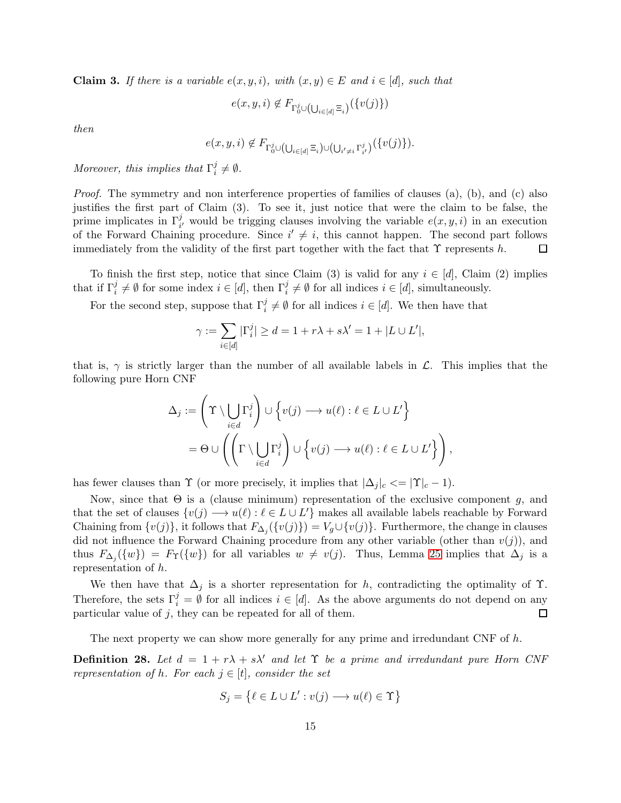**Claim 3.** If there is a variable  $e(x, y, i)$ , with  $(x, y) \in E$  and  $i \in [d]$ , such that

$$
e(x, y, i) \notin F_{\Gamma_0^j \cup (\bigcup_{i \in [d]} \Xi_i)}(\{v(j)\})
$$

then

$$
e(x, y, i) \notin F_{\Gamma_0^j \cup (\bigcup_{i \in [d]} \Xi_i) \cup (\bigcup_{i' \neq i} \Gamma_{i'}^j)}(\{v(j)\}).
$$

Moreover, this implies that  $\Gamma_i^j$  $i^j \neq \emptyset$ .

Proof. The symmetry and non interference properties of families of clauses (a), (b), and (c) also justifies the first part of Claim (3). To see it, just notice that were the claim to be false, the prime implicates in  $\Gamma_{i'}^j$  would be trigging clauses involving the variable  $e(x, y, i)$  in an execution of the Forward Chaining procedure. Since  $i' \neq i$ , this cannot happen. The second part follows immediately from the validity of the first part together with the fact that  $\Upsilon$  represents h.  $\Box$ 

To finish the first step, notice that since Claim (3) is valid for any  $i \in [d]$ , Claim (2) implies that if  $\Gamma_i^j \neq \emptyset$  for some index  $i \in [d]$ , then  $\Gamma_i^j \neq \emptyset$  for all indices  $i \in [d]$ , simultaneously.

For the second step, suppose that  $\Gamma_i^j \neq \emptyset$  for all indices  $i \in [d]$ . We then have that

$$
\gamma:=\sum_{i\in[d]}|\Gamma_i^j|\geq d=1+r\lambda+s\lambda'=1+|L\cup L'|,
$$

that is,  $\gamma$  is strictly larger than the number of all available labels in  $\mathcal{L}$ . This implies that the following pure Horn CNF

$$
\Delta_j := \left(\Upsilon \setminus \bigcup_{i \in d} \Gamma_i^j\right) \cup \left\{v(j) \longrightarrow u(\ell) : \ell \in L \cup L'\right\}
$$

$$
= \Theta \cup \left(\left(\Gamma \setminus \bigcup_{i \in d} \Gamma_i^j\right) \cup \left\{v(j) \longrightarrow u(\ell) : \ell \in L \cup L'\right\}\right),
$$

has fewer clauses than  $\Upsilon$  (or more precisely, it implies that  $|\Delta_j|_c \leq |\Upsilon|_c - 1$ ).

Now, since that  $\Theta$  is a (clause minimum) representation of the exclusive component q, and that the set of clauses  $\{v(j) \longrightarrow u(\ell) : \ell \in L \cup L'\}$  makes all available labels reachable by Forward Chaining from  $\{v(j)\}\$ , it follows that  $F_{\Delta_j}(\{v(j)\}) = V_g \cup \{v(j)\}\$ . Furthermore, the change in clauses did not influence the Forward Chaining procedure from any other variable (other than  $v(j)$ ), and thus  $F_{\Delta_j}(\{w\}) = F_{\Upsilon}(\{w\})$  for all variables  $w \neq v(j)$ . Thus, Lemma [25](#page-12-0) implies that  $\Delta_j$  is a representation of h.

We then have that  $\Delta_j$  is a shorter representation for h, contradicting the optimality of  $\Upsilon$ . Therefore, the sets  $\Gamma_i^j = \emptyset$  for all indices  $i \in [d]$ . As the above arguments do not depend on any particular value of  $j$ , they can be repeated for all of them.

The next property we can show more generally for any prime and irredundant CNF of  $h$ .

<span id="page-14-0"></span>**Definition 28.** Let  $d = 1 + r\lambda + s\lambda'$  and let  $\Upsilon$  be a prime and irredundant pure Horn CNF representation of h. For each  $j \in [t]$ , consider the set

$$
S_j = \{ \ell \in L \cup L' : v(j) \longrightarrow u(\ell) \in \Upsilon \}
$$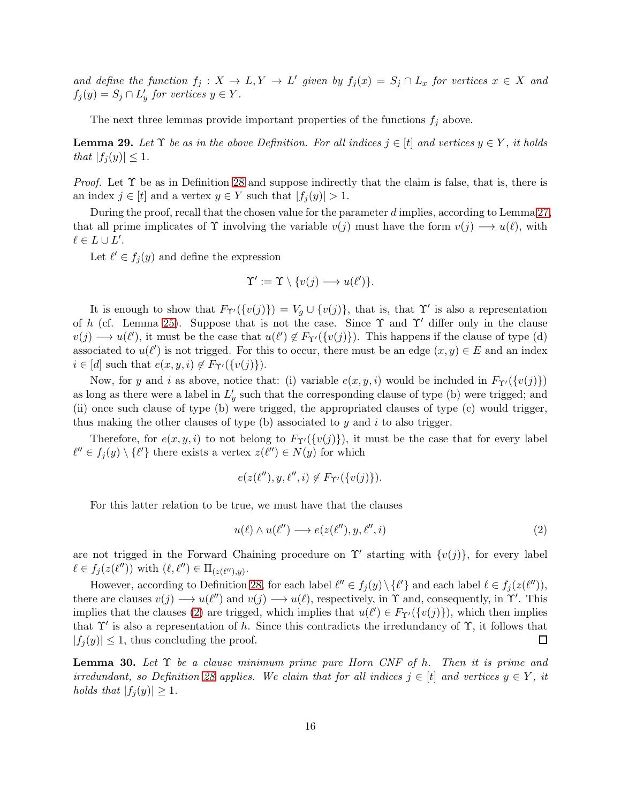and define the function  $f_j: X \to L, Y \to L'$  given by  $f_j(x) = S_j \cap L_x$  for vertices  $x \in X$  and  $f_j(y) = S_j \cap L'_y$  for vertices  $y \in Y$ .

The next three lemmas provide important properties of the functions  $f_j$  above.

<span id="page-15-1"></span>**Lemma 29.** Let  $\Upsilon$  be as in the above Definition. For all indices  $j \in [t]$  and vertices  $y \in Y$ , it holds that  $|f_i(y)| \leq 1$ .

*Proof.* Let  $\Upsilon$  be as in Definition [28](#page-14-0) and suppose indirectly that the claim is false, that is, there is an index  $j \in [t]$  and a vertex  $y \in Y$  such that  $|f_i(y)| > 1$ .

During the proof, recall that the chosen value for the parameter d implies, according to Lemma [27,](#page-13-0) that all prime implicates of  $\Upsilon$  involving the variable  $v(j)$  must have the form  $v(j) \longrightarrow u(\ell)$ , with  $\ell \in L \cup L'.$ 

Let  $\ell' \in f_j(y)$  and define the expression

$$
\Upsilon' := \Upsilon \setminus \{v(j) \longrightarrow u(\ell')\}.
$$

It is enough to show that  $F_{\Upsilon'}(\{v(j)\}) = V_g \cup \{v(j)\}\$ , that is, that  $\Upsilon'$  is also a representation of h (cf. Lemma [25\)](#page-12-0). Suppose that is not the case. Since  $\Upsilon$  and  $\Upsilon'$  differ only in the clause  $v(j) \longrightarrow u(\ell')$ , it must be the case that  $u(\ell') \notin F_{\Upsilon'}(\{v(j)\})$ . This happens if the clause of type (d) associated to  $u(\ell')$  is not trigged. For this to occur, there must be an edge  $(x, y) \in E$  and an index  $i \in [d]$  such that  $e(x, y, i) \notin F_{\Upsilon'}(\{v(j)\}).$ 

Now, for y and i as above, notice that: (i) variable  $e(x, y, i)$  would be included in  $F_{\Upsilon'}(\{v(j)\})$ as long as there were a label in  $L'_y$  such that the corresponding clause of type (b) were trigged; and (ii) once such clause of type (b) were trigged, the appropriated clauses of type (c) would trigger, thus making the other clauses of type  $(b)$  associated to y and i to also trigger.

Therefore, for  $e(x, y, i)$  to not belong to  $F_{\Upsilon'}(\{v(j)\})$ , it must be the case that for every label  $\ell'' \in f_j(y) \setminus {\ell'}$  there exists a vertex  $z(\ell'') \in N(y)$  for which

$$
e(z(\ell''), y, \ell'', i) \notin F_{\Upsilon'}(\{v(j)\}).
$$

For this latter relation to be true, we must have that the clauses

<span id="page-15-0"></span>
$$
u(\ell) \wedge u(\ell'') \longrightarrow e(z(\ell''), y, \ell'', i) \tag{2}
$$

are not trigged in the Forward Chaining procedure on  $\Upsilon'$  starting with  $\{v(j)\}\text{, for every label }$  $\ell \in f_j(z(\ell''))$  with  $(\ell, \ell'') \in \Pi_{(z(\ell''),y)}$ .

However, according to Definition [28,](#page-14-0) for each label  $\ell'' \in f_j(y) \setminus {\{\ell'\}}$  and each label  $\ell \in f_j(z(\ell''))$ , there are clauses  $v(j) \rightarrow u(\ell'')$  and  $v(j) \rightarrow u(\ell)$ , respectively, in  $\Upsilon$  and, consequently, in  $\Upsilon'$ . This implies that the clauses [\(2\)](#page-15-0) are trigged, which implies that  $u(\ell') \in F_{\Upsilon'}(\{v(j)\})$ , which then implies that  $\Upsilon'$  is also a representation of h. Since this contradicts the irredundancy of  $\Upsilon$ , it follows that  $|f_i(y)| \leq 1$ , thus concluding the proof.  $\Box$ 

<span id="page-15-2"></span>**Lemma 30.** Let  $\Upsilon$  be a clause minimum prime pure Horn CNF of h. Then it is prime and irredundant, so Definition [28](#page-14-0) applies. We claim that for all indices  $j \in [t]$  and vertices  $y \in Y$ , it holds that  $|f_j(y)| \geq 1$ .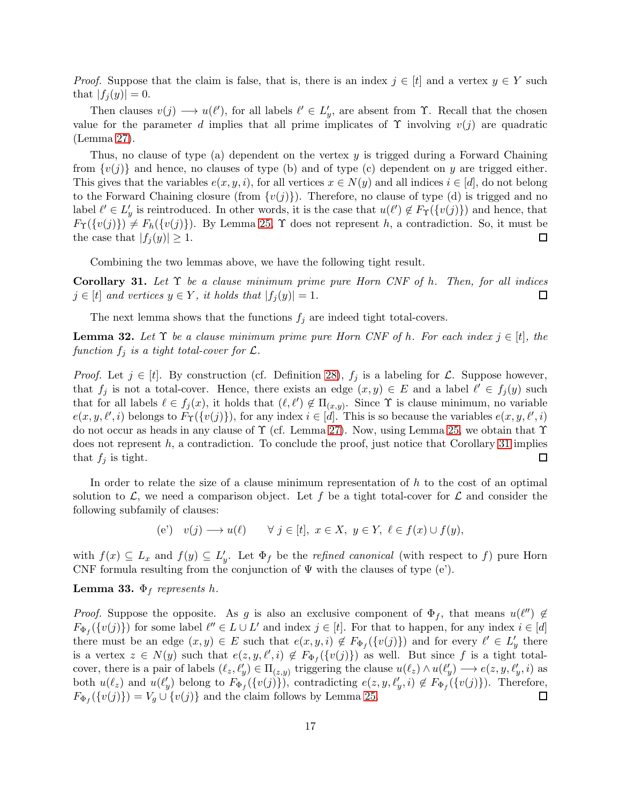*Proof.* Suppose that the claim is false, that is, there is an index  $j \in [t]$  and a vertex  $y \in Y$  such that  $|f_i(y)| = 0$ .

Then clauses  $v(j) \longrightarrow u(\ell')$ , for all labels  $\ell' \in L'_j$ , are absent from  $\Upsilon$ . Recall that the chosen value for the parameter d implies that all prime implicates of  $\Upsilon$  involving  $v(j)$  are quadratic (Lemma [27\)](#page-13-0).

Thus, no clause of type (a) dependent on the vertex y is trigged during a Forward Chaining from  $\{v(j)\}\$  and hence, no clauses of type (b) and of type (c) dependent on y are trigged either. This gives that the variables  $e(x, y, i)$ , for all vertices  $x \in N(y)$  and all indices  $i \in [d]$ , do not belong to the Forward Chaining closure (from  $\{v(j)\}\)$ . Therefore, no clause of type (d) is trigged and no label  $\ell' \in L'_y$  is reintroduced. In other words, it is the case that  $u(\ell') \notin F_{\Upsilon}(\{v(j)\})$  and hence, that  $F_{\Upsilon}(\{v(j)\}) \neq F_h(\{v(j)\})$ . By Lemma [25,](#page-12-0)  $\Upsilon$  does not represent h, a contradiction. So, it must be the case that  $|f_i(y)| \geq 1$ . 囗

Combining the two lemmas above, we have the following tight result.

<span id="page-16-0"></span>Corollary 31. Let  $\Upsilon$  be a clause minimum prime pure Horn CNF of h. Then, for all indices  $j \in [t]$  and vertices  $y \in Y$ , it holds that  $|f_i(y)| = 1$ .  $\Box$ 

The next lemma shows that the functions  $f_i$  are indeed tight total-covers.

<span id="page-16-1"></span>**Lemma 32.** Let  $\Upsilon$  be a clause minimum prime pure Horn CNF of h. For each index  $j \in [t]$ , the function  $f_j$  is a tight total-cover for  $\mathcal{L}$ .

*Proof.* Let  $j \in [t]$ . By construction (cf. Definition [28\)](#page-14-0),  $f_j$  is a labeling for  $\mathcal{L}$ . Suppose however, that  $f_j$  is not a total-cover. Hence, there exists an edge  $(x, y) \in E$  and a label  $\ell' \in f_j(y)$  such that for all labels  $\ell \in f_j(x)$ , it holds that  $(\ell, \ell') \notin \Pi_{(x,y)}$ . Since  $\Upsilon$  is clause minimum, no variable  $e(x, y, \ell', i)$  belongs to  $F_{\Upsilon}(\{v(j)\})$ , for any index  $i \in [d]$ . This is so because the variables  $e(x, y, \ell', i)$ do not occur as heads in any clause of Υ (cf. Lemma [27\)](#page-13-0). Now, using Lemma [25,](#page-12-0) we obtain that Υ does not represent  $h$ , a contradiction. To conclude the proof, just notice that Corollary [31](#page-16-0) implies that  $f_i$  is tight.  $\Box$ 

In order to relate the size of a clause minimum representation of  $h$  to the cost of an optimal solution to  $\mathcal{L}$ , we need a comparison object. Let f be a tight total-cover for  $\mathcal{L}$  and consider the following subfamily of clauses:

(e') 
$$
v(j) \longrightarrow u(\ell)
$$
  $\forall j \in [t], x \in X, y \in Y, \ell \in f(x) \cup f(y),$ 

with  $f(x) \subseteq L_x$  and  $f(y) \subseteq L'_y$ . Let  $\Phi_f$  be the *refined canonical* (with respect to f) pure Horn CNF formula resulting from the conjunction of  $\Psi$  with the clauses of type (e').

#### <span id="page-16-2"></span>**Lemma 33.**  $\Phi_f$  represents h.

*Proof.* Suppose the opposite. As g is also an exclusive component of  $\Phi_f$ , that means  $u(\ell'') \notin$  $F_{\Phi_f}(\{v(j)\})$  for some label  $\ell'' \in L \cup L'$  and index  $j \in [t]$ . For that to happen, for any index  $i \in [d]$ there must be an edge  $(x, y) \in E$  such that  $e(x, y, i) \notin F_{\Phi_f}(\{v(j)\})$  and for every  $\ell' \in L'_y$  there is a vertex  $z \in N(y)$  such that  $e(z, y, \ell', i) \notin F_{\Phi_f}(\{v(j)\})$  as well. But since f is a tight totalcover, there is a pair of labels  $(\ell_z, \ell_y') \in \Pi_{(z,y)}$  triggering the clause  $u(\ell_z) \wedge u(\ell_y') \longrightarrow e(z, y, \ell_y', i)$  as both  $u(\ell_z)$  and  $u(\ell'_y)$  belong to  $F_{\Phi_f}(\{v(j)\})$ , contradicting  $e(z, y, \ell'_y, i) \notin F_{\Phi_f}(\{v(j)\})$ . Therefore,  $F_{\Phi_f}(\{v(j)\}) = V_g \cup \{v(j)\}\$ and the claim follows by Lemma [25.](#page-12-0) □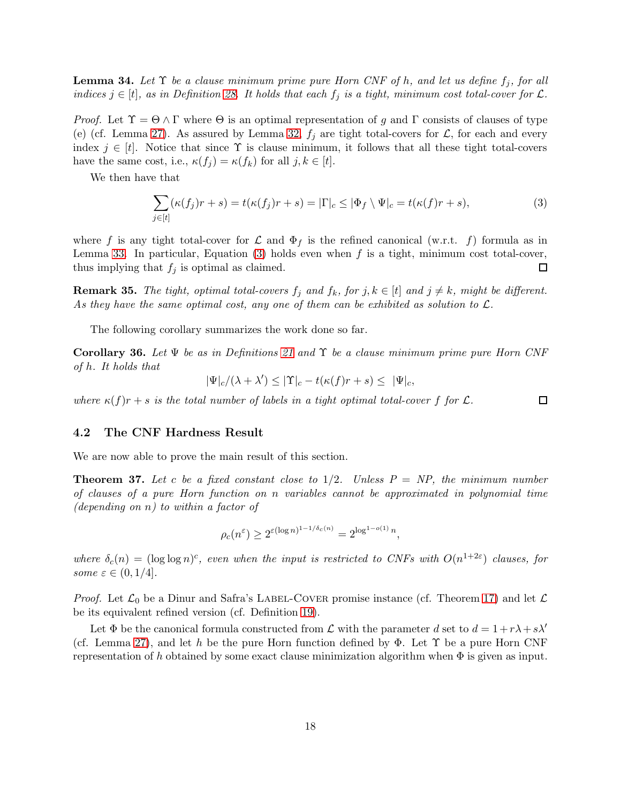<span id="page-17-2"></span>**Lemma 34.** Let  $\Upsilon$  be a clause minimum prime pure Horn CNF of h, and let us define  $f_i$ , for all indices  $j \in [t]$ , as in Definition [28.](#page-14-0) It holds that each  $f_j$  is a tight, minimum cost total-cover for  $\mathcal{L}$ .

*Proof.* Let  $\Upsilon = \Theta \wedge \Gamma$  where  $\Theta$  is an optimal representation of g and  $\Gamma$  consists of clauses of type (e) (cf. Lemma [27\)](#page-13-0). As assured by Lemma [32,](#page-16-1)  $f_j$  are tight total-covers for  $\mathcal{L}$ , for each and every index  $j \in [t]$ . Notice that since  $\Upsilon$  is clause minimum, it follows that all these tight total-covers have the same cost, i.e.,  $\kappa(f_i) = \kappa(f_k)$  for all  $j, k \in [t]$ .

We then have that

<span id="page-17-0"></span>
$$
\sum_{j \in [t]} (\kappa(f_j)r + s) = t(\kappa(f_j)r + s) = |\Gamma|_c \le |\Phi_f \setminus \Psi|_c = t(\kappa(f)r + s),
$$
\n(3)

where f is any tight total-cover for  $\mathcal L$  and  $\Phi_f$  is the refined canonical (w.r.t. f) formula as in Lemma [33.](#page-16-2) In particular, Equation [\(3\)](#page-17-0) holds even when  $f$  is a tight, minimum cost total-cover, thus implying that  $f_j$  is optimal as claimed. □

<span id="page-17-3"></span>**Remark 35.** The tight, optimal total-covers  $f_j$  and  $f_k$ , for  $j, k \in [t]$  and  $j \neq k$ , might be different. As they have the same optimal cost, any one of them can be exhibited as solution to  $\mathcal{L}$ .

The following corollary summarizes the work done so far.

<span id="page-17-1"></span>Corollary 36. Let  $\Psi$  be as in Definitions [21](#page-10-0) and  $\Upsilon$  be a clause minimum prime pure Horn CNF of h. It holds that

$$
|\Psi|_c/(\lambda + \lambda') \le |\Upsilon|_c - t(\kappa(f)r + s) \le |\Psi|_c,
$$

where  $\kappa(f)r + s$  is the total number of labels in a tight optimal total-cover f for  $\mathcal{L}$ .

 $\Box$ 

#### 4.2 The CNF Hardness Result

We are now able to prove the main result of this section.

<span id="page-17-4"></span>**Theorem 37.** Let c be a fixed constant close to  $1/2$ . Unless  $P = NP$ , the minimum number of clauses of a pure Horn function on n variables cannot be approximated in polynomial time (depending on  $n$ ) to within a factor of

$$
\rho_c(n^{\varepsilon}) \ge 2^{\varepsilon (\log n)^{1-1/\delta_c(n)}} = 2^{\log^{1-o(1)} n},
$$

where  $\delta_c(n) = (\log \log n)^c$ , even when the input is restricted to CNFs with  $O(n^{1+2\varepsilon})$  clauses, for some  $\varepsilon \in (0,1/4]$ .

*Proof.* Let  $\mathcal{L}_0$  be a Dinur and Safra's LABEL-COVER promise instance (cf. Theorem [17\)](#page-8-1) and let  $\mathcal{L}$ be its equivalent refined version (cf. Definition [19\)](#page-8-4).

Let  $\Phi$  be the canonical formula constructed from  $\mathcal L$  with the parameter d set to  $d = 1+r\lambda+s\lambda'$ (cf. Lemma [27\)](#page-13-0), and let h be the pure Horn function defined by  $\Phi$ . Let  $\Upsilon$  be a pure Horn CNF representation of h obtained by some exact clause minimization algorithm when  $\Phi$  is given as input.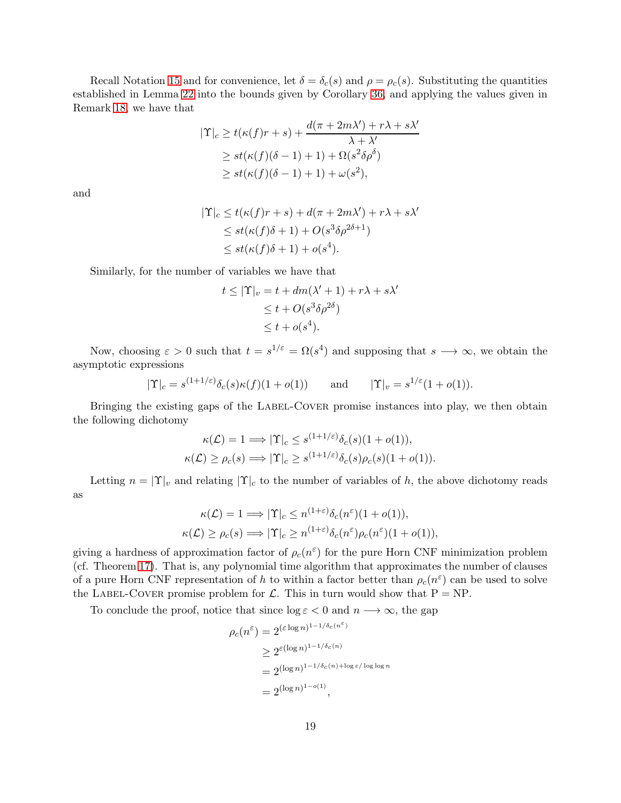Recall Notation [15](#page-8-3) and for convenience, let  $\delta = \delta_c(s)$  and  $\rho = \rho_c(s)$ . Substituting the quantities established in Lemma [22](#page-11-0) into the bounds given by Corollary [36,](#page-17-1) and applying the values given in Remark [18,](#page-8-2) we have that

$$
|\Upsilon|_c \ge t(\kappa(f)r+s) + \frac{d(\pi + 2m\lambda') + r\lambda + s\lambda'}{\lambda + \lambda'}
$$
  
\n
$$
\ge st(\kappa(f)(\delta - 1) + 1) + \Omega(s^2\delta\rho^{\delta})
$$
  
\n
$$
\ge st(\kappa(f)(\delta - 1) + 1) + \omega(s^2),
$$

and

$$
|\Upsilon|_c \le t(\kappa(f)r + s) + d(\pi + 2m\lambda') + r\lambda + s\lambda'
$$
  
\n
$$
\le st(\kappa(f)\delta + 1) + O(s^3\delta\rho^{2\delta + 1})
$$
  
\n
$$
\le st(\kappa(f)\delta + 1) + o(s^4).
$$

Similarly, for the number of variables we have that

$$
t \le |\Upsilon|_v = t + dm(\lambda' + 1) + r\lambda + s\lambda'
$$
  
\n
$$
\le t + O(s^3\delta\rho^{2\delta})
$$
  
\n
$$
\le t + o(s^4).
$$

Now, choosing  $\varepsilon > 0$  such that  $t = s^{1/\varepsilon} = \Omega(s^4)$  and supposing that  $s \longrightarrow \infty$ , we obtain the asymptotic expressions

$$
|\Upsilon|_c = s^{(1+1/\varepsilon)} \delta_c(s) \kappa(f)(1+o(1))
$$
 and  $|\Upsilon|_v = s^{1/\varepsilon} (1+o(1)).$ 

Bringing the existing gaps of the LABEL-COVER promise instances into play, we then obtain the following dichotomy

$$
\kappa(\mathcal{L}) = 1 \Longrightarrow |\Upsilon|_c \le s^{(1+1/\varepsilon)} \delta_c(s)(1+o(1)),
$$
  

$$
\kappa(\mathcal{L}) \ge \rho_c(s) \Longrightarrow |\Upsilon|_c \ge s^{(1+1/\varepsilon)} \delta_c(s)\rho_c(s)(1+o(1)).
$$

Letting  $n = |\Upsilon|_v$  and relating  $|\Upsilon|_c$  to the number of variables of h, the above dichotomy reads as

$$
\kappa(\mathcal{L}) = 1 \Longrightarrow |\Upsilon|_c \le n^{(1+\varepsilon)} \delta_c(n^{\varepsilon})(1+o(1)),
$$
  

$$
\kappa(\mathcal{L}) \ge \rho_c(s) \Longrightarrow |\Upsilon|_c \ge n^{(1+\varepsilon)} \delta_c(n^{\varepsilon})\rho_c(n^{\varepsilon})(1+o(1)),
$$

giving a hardness of approximation factor of  $\rho_c(n^{\varepsilon})$  for the pure Horn CNF minimization problem (cf. Theorem [17\)](#page-8-1). That is, any polynomial time algorithm that approximates the number of clauses of a pure Horn CNF representation of h to within a factor better than  $\rho_c(n^{\varepsilon})$  can be used to solve the LABEL-COVER promise problem for  $\mathcal{L}$ . This in turn would show that  $P = NP$ .

To conclude the proof, notice that since  $\log \varepsilon < 0$  and  $n \longrightarrow \infty$ , the gap

$$
\rho_c(n^{\varepsilon}) = 2^{(\varepsilon \log n)^{1 - 1/\delta_c(n^{\varepsilon})}}
$$
  
\n
$$
\geq 2^{\varepsilon (\log n)^{1 - 1/\delta_c(n)}}
$$
  
\n
$$
= 2^{(\log n)^{1 - 1/\delta_c(n) + \log \varepsilon / \log \log n}}
$$
  
\n
$$
= 2^{(\log n)^{1 - o(1)}},
$$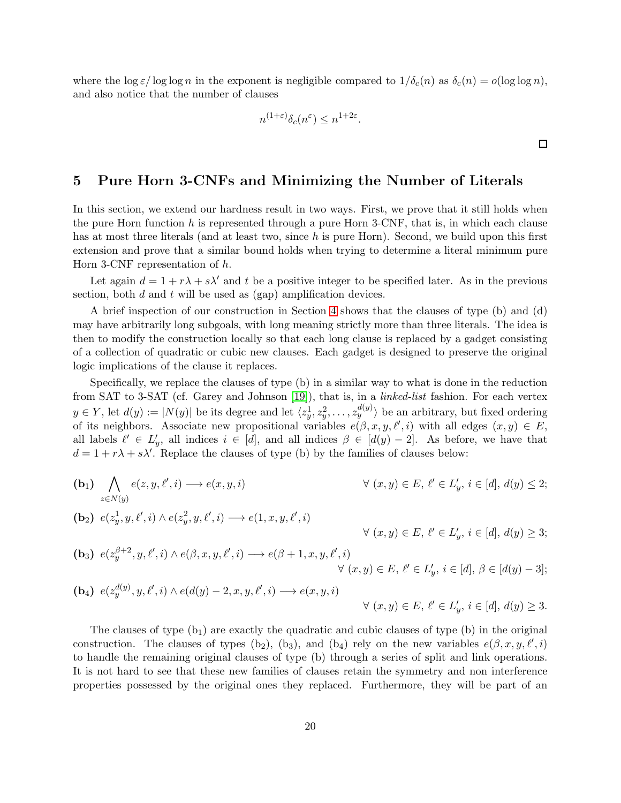where the log  $\varepsilon/\log\log n$  in the exponent is negligible compared to  $1/\delta_c(n)$  as  $\delta_c(n) = o(\log\log n)$ , and also notice that the number of clauses

$$
n^{(1+\varepsilon)}\delta_c(n^{\varepsilon}) \le n^{1+2\varepsilon}.
$$

 $\Box$ 

## <span id="page-19-0"></span>5 Pure Horn 3-CNFs and Minimizing the Number of Literals

In this section, we extend our hardness result in two ways. First, we prove that it still holds when the pure Horn function h is represented through a pure Horn 3-CNF, that is, in which each clause has at most three literals (and at least two, since h is pure Horn). Second, we build upon this first extension and prove that a similar bound holds when trying to determine a literal minimum pure Horn 3-CNF representation of h.

Let again  $d = 1 + r\lambda + s\lambda'$  and t be a positive integer to be specified later. As in the previous section, both  $d$  and  $t$  will be used as (gap) amplification devices.

A brief inspection of our construction in Section [4](#page-9-0) shows that the clauses of type (b) and (d) may have arbitrarily long subgoals, with long meaning strictly more than three literals. The idea is then to modify the construction locally so that each long clause is replaced by a gadget consisting of a collection of quadratic or cubic new clauses. Each gadget is designed to preserve the original logic implications of the clause it replaces.

Specifically, we replace the clauses of type (b) in a similar way to what is done in the reduction from SAT to 3-SAT (cf. Garey and Johnson [\[19\]](#page-37-1)), that is, in a linked-list fashion. For each vertex  $y \in Y$ , let  $d(y) := |N(y)|$  be its degree and let  $\langle z_y^1, z_y^2, \dots, z_y^{d(y)} \rangle$  be an arbitrary, but fixed ordering of its neighbors. Associate new propositional variables  $e(\beta, x, y, \ell', i)$  with all edges  $(x, y) \in E$ , all labels  $\ell' \in L'_y$ , all indices  $i \in [d]$ , and all indices  $\beta \in [d(y) - 2]$ . As before, we have that  $d = 1 + r\lambda + s\lambda'$ . Replace the clauses of type (b) by the families of clauses below:

(b)  
\n
$$
\bigwedge_{z \in N(y)} e(z, y, \ell', i) \longrightarrow e(x, y, i)
$$
\n
$$
\forall (x, y) \in E, \ell' \in L'_y, i \in [d], d(y) \le 2;
$$
\n(b)  
\n
$$
\bigwedge_{z \in N(y)} e(z_y^1, y, \ell', i) \land e(z_y^2, y, \ell', i) \longrightarrow e(1, x, y, \ell', i)
$$
\n
$$
\forall (x, y) \in E, \ell' \in L'_y, i \in [d], d(y) \ge 3;
$$
\n(b)  
\n
$$
\bigwedge_{z \in N(y)} e(z_y^{\beta+2}, y, \ell', i) \land e(\beta, x, y, \ell', i) \longrightarrow e(\beta+1, x, y, \ell', i)
$$
\n
$$
\forall (x, y) \in E, \ell' \in L'_y, i \in [d], \beta \in [d(y) - 3];
$$
\n(b)  
\n
$$
\bigwedge_{z \in N(y)} e(z_y^{\beta(y)}, y, \ell', i) \land e(d(y) - 2, x, y, \ell', i) \longrightarrow e(x, y, i)
$$
\n
$$
\forall (x, y) \in E, \ell' \in L'_y, i \in [d], d(y) \ge 3.
$$

The clauses of type  $(b_1)$  are exactly the quadratic and cubic clauses of type  $(b)$  in the original construction. The clauses of types (b<sub>2</sub>), (b<sub>3</sub>), and (b<sub>4</sub>) rely on the new variables  $e(\beta, x, y, \ell', i)$ to handle the remaining original clauses of type (b) through a series of split and link operations. It is not hard to see that these new families of clauses retain the symmetry and non interference properties possessed by the original ones they replaced. Furthermore, they will be part of an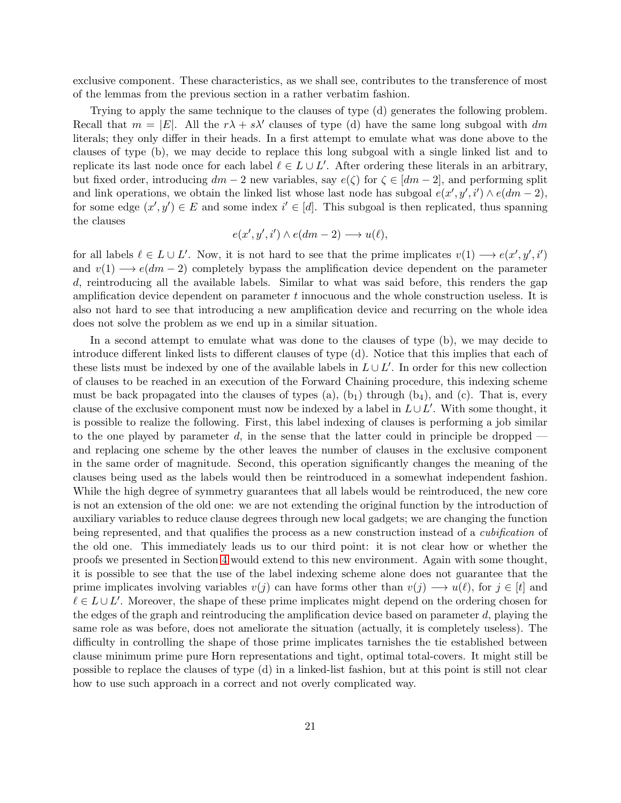exclusive component. These characteristics, as we shall see, contributes to the transference of most of the lemmas from the previous section in a rather verbatim fashion.

Trying to apply the same technique to the clauses of type (d) generates the following problem. Recall that  $m = |E|$ . All the  $r\lambda + s\lambda'$  clauses of type (d) have the same long subgoal with dm literals; they only differ in their heads. In a first attempt to emulate what was done above to the clauses of type (b), we may decide to replace this long subgoal with a single linked list and to replicate its last node once for each label  $\ell \in L \cup L'$ . After ordering these literals in an arbitrary, but fixed order, introducing  $dm - 2$  new variables, say  $e(\zeta)$  for  $\zeta \in [dm - 2]$ , and performing split and link operations, we obtain the linked list whose last node has subgoal  $e(x', y', i') \wedge e(dm - 2)$ , for some edge  $(x', y') \in E$  and some index  $i' \in [d]$ . This subgoal is then replicated, thus spanning the clauses

$$
e(x', y', i') \wedge e(dm - 2) \longrightarrow u(\ell),
$$

for all labels  $\ell \in L \cup L'$ . Now, it is not hard to see that the prime implicates  $v(1) \longrightarrow e(x', y', i')$ and  $v(1) \rightarrow e(dm-2)$  completely bypass the amplification device dependent on the parameter d, reintroducing all the available labels. Similar to what was said before, this renders the gap amplification device dependent on parameter  $t$  innocuous and the whole construction useless. It is also not hard to see that introducing a new amplification device and recurring on the whole idea does not solve the problem as we end up in a similar situation.

In a second attempt to emulate what was done to the clauses of type (b), we may decide to introduce different linked lists to different clauses of type (d). Notice that this implies that each of these lists must be indexed by one of the available labels in  $L \cup L'$ . In order for this new collection of clauses to be reached in an execution of the Forward Chaining procedure, this indexing scheme must be back propagated into the clauses of types (a),  $(b_1)$  through  $(b_4)$ , and  $(c)$ . That is, every clause of the exclusive component must now be indexed by a label in  $L \cup L'$ . With some thought, it is possible to realize the following. First, this label indexing of clauses is performing a job similar to the one played by parameter d, in the sense that the latter could in principle be dropped  $$ and replacing one scheme by the other leaves the number of clauses in the exclusive component in the same order of magnitude. Second, this operation significantly changes the meaning of the clauses being used as the labels would then be reintroduced in a somewhat independent fashion. While the high degree of symmetry guarantees that all labels would be reintroduced, the new core is not an extension of the old one: we are not extending the original function by the introduction of auxiliary variables to reduce clause degrees through new local gadgets; we are changing the function being represented, and that qualifies the process as a new construction instead of a *cubification* of the old one. This immediately leads us to our third point: it is not clear how or whether the proofs we presented in Section [4](#page-9-0) would extend to this new environment. Again with some thought, it is possible to see that the use of the label indexing scheme alone does not guarantee that the prime implicates involving variables  $v(j)$  can have forms other than  $v(j) \longrightarrow u(\ell)$ , for  $j \in [t]$  and  $\ell \in L \cup L'$ . Moreover, the shape of these prime implicates might depend on the ordering chosen for the edges of the graph and reintroducing the amplification device based on parameter  $d$ , playing the same role as was before, does not ameliorate the situation (actually, it is completely useless). The difficulty in controlling the shape of those prime implicates tarnishes the tie established between clause minimum prime pure Horn representations and tight, optimal total-covers. It might still be possible to replace the clauses of type (d) in a linked-list fashion, but at this point is still not clear how to use such approach in a correct and not overly complicated way.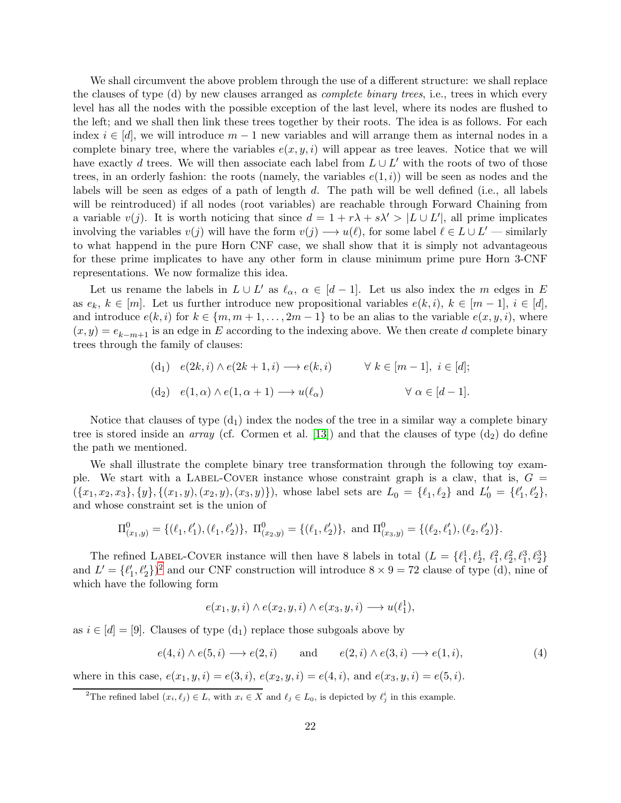We shall circumvent the above problem through the use of a different structure: we shall replace the clauses of type (d) by new clauses arranged as complete binary trees, i.e., trees in which every level has all the nodes with the possible exception of the last level, where its nodes are flushed to the left; and we shall then link these trees together by their roots. The idea is as follows. For each index  $i \in [d]$ , we will introduce  $m-1$  new variables and will arrange them as internal nodes in a complete binary tree, where the variables  $e(x, y, i)$  will appear as tree leaves. Notice that we will have exactly d trees. We will then associate each label from  $L \cup L'$  with the roots of two of those trees, in an orderly fashion: the roots (namely, the variables  $e(1, i)$ ) will be seen as nodes and the labels will be seen as edges of a path of length d. The path will be well defined (i.e., all labels will be reintroduced) if all nodes (root variables) are reachable through Forward Chaining from a variable  $v(j)$ . It is worth noticing that since  $d = 1 + r\lambda + s\lambda' > |L \cup L'|$ , all prime implicates involving the variables  $v(j)$  will have the form  $v(j) \rightarrow u(\ell)$ , for some label  $\ell \in L \cup L'$  — similarly to what happend in the pure Horn CNF case, we shall show that it is simply not advantageous for these prime implicates to have any other form in clause minimum prime pure Horn 3-CNF representations. We now formalize this idea.

Let us rename the labels in  $L \cup L'$  as  $\ell_{\alpha}, \alpha \in [d-1]$ . Let us also index the m edges in E as  $e_k, k \in [m]$ . Let us further introduce new propositional variables  $e(k, i)$ ,  $k \in [m-1]$ ,  $i \in [d]$ , and introduce  $e(k, i)$  for  $k \in \{m, m + 1, \ldots, 2m - 1\}$  to be an alias to the variable  $e(x, y, i)$ , where  $(x, y) = e_{k-m+1}$  is an edge in E according to the indexing above. We then create d complete binary trees through the family of clauses:

(d<sub>1</sub>) 
$$
e(2k, i) \wedge e(2k + 1, i) \longrightarrow e(k, i)
$$
  $\forall k \in [m-1], i \in [d];$   
(d<sub>2</sub>)  $e(1, \alpha) \wedge e(1, \alpha + 1) \longrightarrow u(\ell_{\alpha})$   $\forall \alpha \in [d-1].$ 

Notice that clauses of type  $(d_1)$  index the nodes of the tree in a similar way a complete binary tree is stored inside an *array* (cf. Cormen et al. [\[13\]](#page-37-11)) and that the clauses of type  $(d_2)$  do define the path we mentioned.

We shall illustrate the complete binary tree transformation through the following toy example. We start with a LABEL-COVER instance whose constraint graph is a claw, that is,  $G =$  $(\{x_1, x_2, x_3\}, \{y\}, \{(x_1, y), (x_2, y), (x_3, y)\}),$  whose label sets are  $L_0 = \{\ell_1, \ell_2\}$  and  $L'_0 = \{\ell'_1, \ell'_2\},$ and whose constraint set is the union of

$$
\Pi_{(x_1,y)}^0 = \{(\ell_1,\ell'_1),(\ell_1,\ell'_2)\}, \ \Pi_{(x_2,y)}^0 = \{(\ell_1,\ell'_2)\}, \ \text{and} \ \Pi_{(x_3,y)}^0 = \{(\ell_2,\ell'_1),(\ell_2,\ell'_2)\}.
$$

The refined LABEL-COVER instance will then have 8 labels in total  $(L = {\ell_1^1, \ell_2^1, \ell_1^2, \ell_2^2, \ell_1^3, \ell_2^3}$ and  $L' = {\ell'_1, \ell'_2}$  $L' = {\ell'_1, \ell'_2}$  $L' = {\ell'_1, \ell'_2}$  and our CNF construction will introduce  $8 \times 9 = 72$  clause of type (d), nine of which have the following form

$$
e(x_1, y, i) \wedge e(x_2, y, i) \wedge e(x_3, y, i) \longrightarrow u(\ell_1^1),
$$

as  $i \in [d] = [9]$ . Clauses of type  $(d_1)$  replace those subgoals above by

<span id="page-21-1"></span>
$$
e(4,i) \wedge e(5,i) \longrightarrow e(2,i) \quad \text{and} \quad e(2,i) \wedge e(3,i) \longrightarrow e(1,i), \tag{4}
$$

where in this case,  $e(x_1, y, i) = e(3, i)$ ,  $e(x_2, y, i) = e(4, i)$ , and  $e(x_3, y, i) = e(5, i)$ .

<span id="page-21-0"></span><sup>&</sup>lt;sup>2</sup>The refined label  $(x_i, \ell_j) \in L$ , with  $x_i \in X$  and  $\ell_j \in L_0$ , is depicted by  $\ell_j^i$  in this example.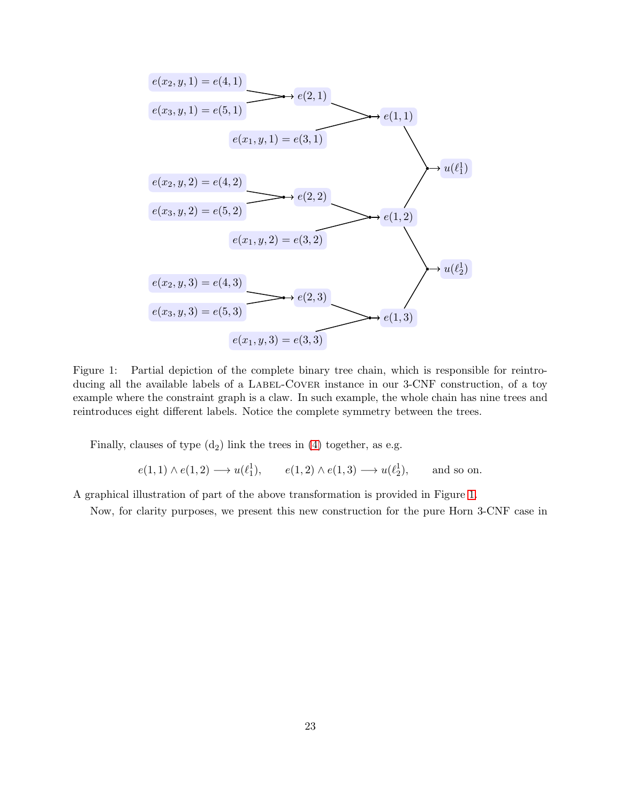

<span id="page-22-0"></span>Figure 1: Partial depiction of the complete binary tree chain, which is responsible for reintroducing all the available labels of a LABEL-COVER instance in our 3-CNF construction, of a toy example where the constraint graph is a claw. In such example, the whole chain has nine trees and reintroduces eight different labels. Notice the complete symmetry between the trees.

Finally, clauses of type  $(d_2)$  link the trees in  $(4)$  together, as e.g.

$$
e(1,1) \wedge e(1,2) \longrightarrow u(\ell_1^1), \qquad e(1,2) \wedge e(1,3) \longrightarrow u(\ell_2^1), \qquad \text{and so on.}
$$

A graphical illustration of part of the above transformation is provided in Figure [1.](#page-22-0)

Now, for clarity purposes, we present this new construction for the pure Horn 3-CNF case in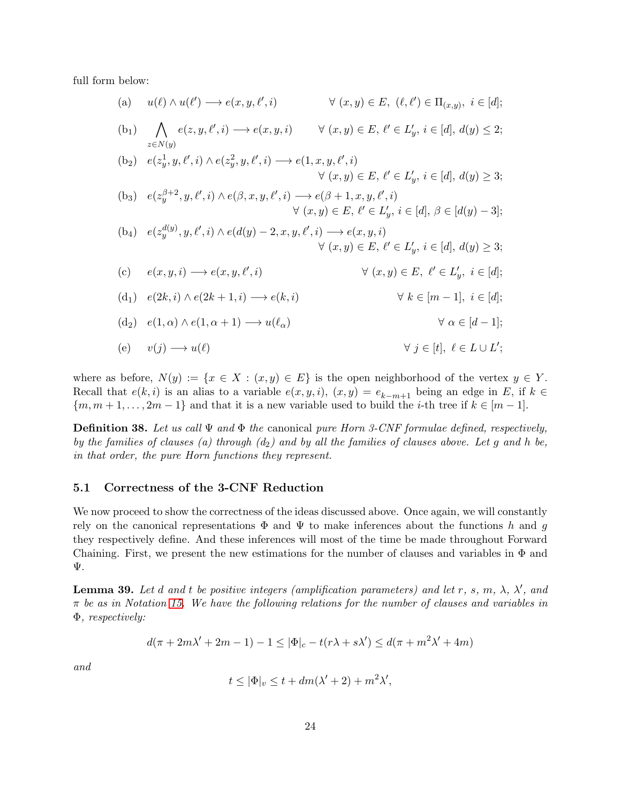full form below:

(a) 
$$
u(\ell) \wedge u(\ell') \longrightarrow e(x, y, \ell', i) \forall (x, y) \in E, (\ell, \ell') \in \Pi_{(x, y)}, i \in [d];
$$
  
\n(b<sub>1</sub>) 
$$
\bigwedge_{z \in N(y)} e(z, y, \ell', i) \longrightarrow e(x, y, i) \forall (x, y) \in E, \ell' \in L'_y, i \in [d], d(y) \leq 2;
$$
  
\n(b<sub>2</sub>) 
$$
e(z_y^1, y, \ell', i) \wedge e(z_y^2, y, \ell', i) \longrightarrow e(1, x, y, \ell', i)
$$

$$
\forall (x, y) \in E, \ell' \in L'_y, i \in [d], d(y) \geq 3;
$$
  
\n(b<sub>3</sub>) 
$$
e(z_y^{\beta+2}, y, \ell', i) \wedge e(\beta, x, y, \ell', i) \longrightarrow e(\beta+1, x, y, \ell', i)
$$

$$
\forall (x, y) \in E, \ell' \in L'_y, i \in [d], \beta \in [d(y) - 3];
$$
  
\n(b<sub>4</sub>) 
$$
e(z_y^{d(y)}, y, \ell', i) \wedge e(d(y) - 2, x, y, \ell', i) \longrightarrow e(x, y, i)
$$

$$
\forall (x, y) \in E, \ell' \in L'_y, i \in [d], d(y) \geq 3;
$$
  
\n(c) 
$$
e(x, y, i) \longrightarrow e(x, y, \ell', i) \qquad \forall (x, y) \in E, \ell' \in L'_y, i \in [d];
$$
  
\n(d<sub>1</sub>) 
$$
e(2k, i) \wedge e(2k+1, i) \longrightarrow e(k, i) \qquad \forall k \in [m-1], i \in [d];
$$
  
\n(d<sub>2</sub>) 
$$
e(1, \alpha) \wedge e(1, \alpha+1) \longrightarrow u(\ell_{\alpha}) \qquad \forall \alpha \in [d-1];
$$
  
\n(e) 
$$
v(j) \longrightarrow u(\ell) \qquad \forall \ell \in L \cup L';
$$

where as before,  $N(y) := \{x \in X : (x, y) \in E\}$  is the open neighborhood of the vertex  $y \in Y$ . Recall that  $e(k, i)$  is an alias to a variable  $e(x, y, i)$ ,  $(x, y) = e_{k-m+1}$  being an edge in E, if  $k \in$  ${m, m+1, \ldots, 2m-1}$  and that it is a new variable used to build the *i*-th tree if  $k \in [m-1]$ .

<span id="page-23-0"></span>**Definition 38.** Let us call  $\Psi$  and  $\Phi$  the canonical pure Horn 3-CNF formulae defined, respectively, by the families of clauses (a) through  $(d_2)$  and by all the families of clauses above. Let g and h be, in that order, the pure Horn functions they represent.

#### 5.1 Correctness of the 3-CNF Reduction

We now proceed to show the correctness of the ideas discussed above. Once again, we will constantly rely on the canonical representations  $\Phi$  and  $\Psi$  to make inferences about the functions h and g they respectively define. And these inferences will most of the time be made throughout Forward Chaining. First, we present the new estimations for the number of clauses and variables in  $\Phi$  and Ψ.

<span id="page-23-1"></span>**Lemma 39.** Let d and t be positive integers (amplification parameters) and let r, s, m,  $\lambda$ ,  $\lambda'$ , and  $\pi$  be as in Notation [15.](#page-8-3) We have the following relations for the number of clauses and variables in Φ, respectively:

$$
d(\pi + 2m\lambda' + 2m - 1) - 1 \le |\Phi|_c - t(r\lambda + s\lambda') \le d(\pi + m^2\lambda' + 4m)
$$

and

$$
t \le |\Phi|_v \le t + dm(\lambda' + 2) + m^2\lambda',
$$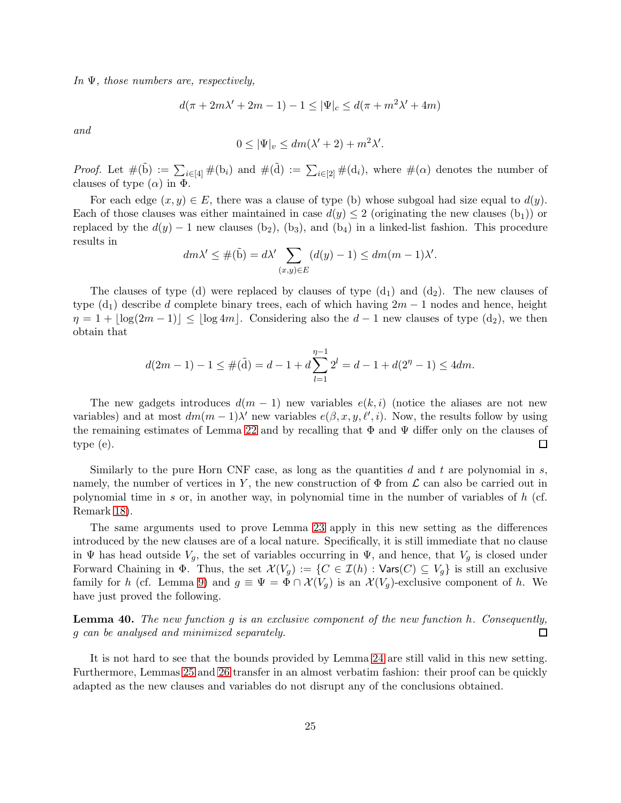In  $\Psi$ , those numbers are, respectively,

$$
d(\pi + 2m\lambda' + 2m - 1) - 1 \le |\Psi|_c \le d(\pi + m^2\lambda' + 4m)
$$

and

$$
0 \le |\Psi|_v \le dm(\lambda' + 2) + m^2 \lambda'.
$$

*Proof.* Let  $\#(\tilde{b}) := \sum_{i \in [4]} \#(b_i)$  and  $\#(\tilde{d}) := \sum_{i \in [2]} \#(d_i)$ , where  $\#(\alpha)$  denotes the number of clauses of type  $(\alpha)$  in  $\Phi$ .

For each edge  $(x, y) \in E$ , there was a clause of type (b) whose subgoal had size equal to  $d(y)$ . Each of those clauses was either maintained in case  $d(y) \leq 2$  (originating the new clauses  $(b_1)$ ) or replaced by the  $d(y) - 1$  new clauses (b<sub>2</sub>), (b<sub>3</sub>), and (b<sub>4</sub>) in a linked-list fashion. This procedure results in

$$
dm\lambda' \leq \#(\tilde{b}) = d\lambda' \sum_{(x,y)\in E} (d(y) - 1) \leq dm(m - 1)\lambda'.
$$

The clauses of type (d) were replaced by clauses of type  $(d_1)$  and  $(d_2)$ . The new clauses of type  $(d_1)$  describe d complete binary trees, each of which having  $2m - 1$  nodes and hence, height  $\eta = 1 + |\log(2m - 1)| \leq |\log 4m|$ . Considering also the  $d - 1$  new clauses of type  $(d_2)$ , we then obtain that

$$
d(2m-1) - 1 \le \#(\tilde{d}) = d - 1 + d \sum_{l=1}^{\eta-1} 2^l = d - 1 + d(2^{\eta} - 1) \le 4dm.
$$

The new gadgets introduces  $d(m-1)$  new variables  $e(k, i)$  (notice the aliases are not new variables) and at most  $dm(m-1)\lambda'$  new variables  $e(\beta, x, y, \ell', i)$ . Now, the results follow by using the remaining estimates of Lemma [22](#page-11-0) and by recalling that  $\Phi$  and  $\Psi$  differ only on the clauses of type (e). □

Similarly to the pure Horn CNF case, as long as the quantities d and t are polynomial in s, namely, the number of vertices in Y, the new construction of  $\Phi$  from  $\mathcal L$  can also be carried out in polynomial time in s or, in another way, in polynomial time in the number of variables of  $h$  (cf. Remark [18\)](#page-8-2).

The same arguments used to prove Lemma [23](#page-12-2) apply in this new setting as the differences introduced by the new clauses are of a local nature. Specifically, it is still immediate that no clause in  $\Psi$  has head outside  $V_g$ , the set of variables occurring in  $\Psi$ , and hence, that  $V_g$  is closed under Forward Chaining in  $\Phi$ . Thus, the set  $\mathcal{X}(V_g) := \{C \in \mathcal{I}(h) : \text{Vars}(C) \subseteq V_g\}$  is still an exclusive family for h (cf. Lemma [9\)](#page-6-1) and  $g \equiv \Psi = \Phi \cap \mathcal{X}(V_q)$  is an  $\mathcal{X}(V_q)$ -exclusive component of h. We have just proved the following.

Lemma 40. The new function g is an exclusive component of the new function h. Consequently, g can be analysed and minimized separately.  $\Box$ 

It is not hard to see that the bounds provided by Lemma [24](#page-12-3) are still valid in this new setting. Furthermore, Lemmas [25](#page-12-0) and [26](#page-12-1) transfer in an almost verbatim fashion: their proof can be quickly adapted as the new clauses and variables do not disrupt any of the conclusions obtained.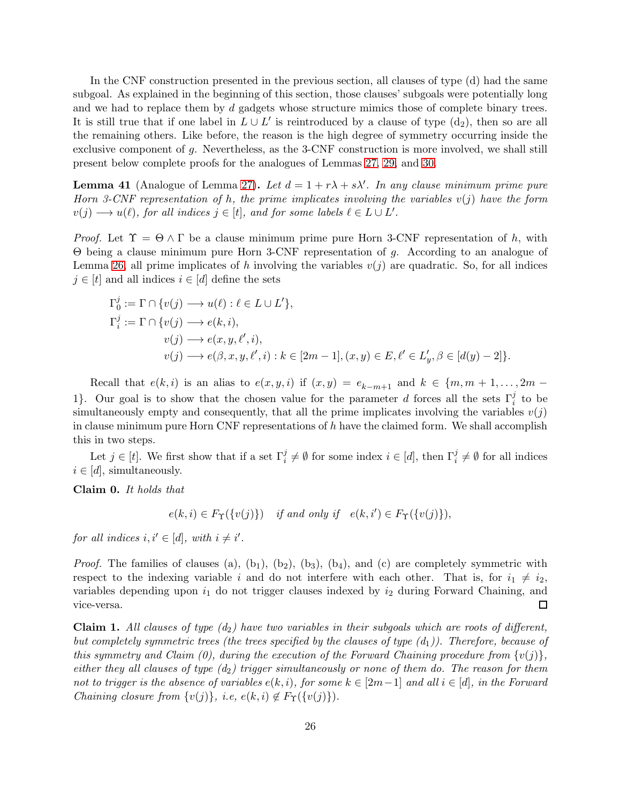In the CNF construction presented in the previous section, all clauses of type (d) had the same subgoal. As explained in the beginning of this section, those clauses' subgoals were potentially long and we had to replace them by d gadgets whose structure mimics those of complete binary trees. It is still true that if one label in  $L \cup L'$  is reintroduced by a clause of type  $(d_2)$ , then so are all the remaining others. Like before, the reason is the high degree of symmetry occurring inside the exclusive component of g. Nevertheless, as the 3-CNF construction is more involved, we shall still present below complete proofs for the analogues of Lemmas [27,](#page-13-0) [29,](#page-15-1) and [30.](#page-15-2)

<span id="page-25-0"></span>**Lemma 41** (Analogue of Lemma [27\)](#page-13-0). Let  $d = 1 + r\lambda + s\lambda'$ . In any clause minimum prime pure Horn 3-CNF representation of h, the prime implicates involving the variables  $v(j)$  have the form  $v(j) \longrightarrow u(\ell)$ , for all indices  $j \in [t]$ , and for some labels  $\ell \in L \cup L'$ .

*Proof.* Let  $\Upsilon = \Theta \wedge \Gamma$  be a clause minimum prime pure Horn 3-CNF representation of h, with Θ being a clause minimum pure Horn 3-CNF representation of g. According to an analogue of Lemma [26,](#page-12-1) all prime implicates of h involving the variables  $v(j)$  are quadratic. So, for all indices  $j \in [t]$  and all indices  $i \in [d]$  define the sets

$$
\Gamma_0^j := \Gamma \cap \{v(j) \longrightarrow u(\ell) : \ell \in L \cup L'\},
$$
  
\n
$$
\Gamma_i^j := \Gamma \cap \{v(j) \longrightarrow e(k, i),
$$
  
\n
$$
v(j) \longrightarrow e(x, y, \ell', i),
$$
  
\n
$$
v(j) \longrightarrow e(\beta, x, y, \ell', i) : k \in [2m - 1], (x, y) \in E, \ell' \in L'_y, \beta \in [d(y) - 2]\}.
$$

Recall that  $e(k, i)$  is an alias to  $e(x, y, i)$  if  $(x, y) = e_{k-m+1}$  and  $k \in \{m, m+1, \ldots, 2m-1\}$ 1}. Our goal is to show that the chosen value for the parameter d forces all the sets  $\Gamma_i^j$  to be simultaneously empty and consequently, that all the prime implicates involving the variables  $v(j)$ in clause minimum pure Horn CNF representations of  $h$  have the claimed form. We shall accomplish this in two steps.

Let  $j \in [t]$ . We first show that if a set  $\Gamma_i^j \neq \emptyset$  for some index  $i \in [d]$ , then  $\Gamma_i^j \neq \emptyset$  for all indices  $i \in [d]$ , simultaneously.

Claim 0. It holds that

 $e(k, i) \in F_{\Upsilon}(\{v(j)\})$  if and only if  $e(k, i') \in F_{\Upsilon}(\{v(j)\}),$ 

for all indices  $i, i' \in [d]$ , with  $i \neq i'$ .

*Proof.* The families of clauses (a),  $(b_1)$ ,  $(b_2)$ ,  $(b_3)$ ,  $(b_4)$ , and (c) are completely symmetric with respect to the indexing variable i and do not interfere with each other. That is, for  $i_1 \neq i_2$ , variables depending upon  $i_1$  do not trigger clauses indexed by  $i_2$  during Forward Chaining, and vice-versa. 囗

**Claim 1.** All clauses of type  $(d_2)$  have two variables in their subgoals which are roots of different, but completely symmetric trees (the trees specified by the clauses of type  $(d_1)$ ). Therefore, because of this symmetry and Claim (0), during the execution of the Forward Chaining procedure from  $\{v(j)\}\,$ , either they all clauses of type  $(d_2)$  trigger simultaneously or none of them do. The reason for them not to trigger is the absence of variables  $e(k, i)$ , for some  $k \in [2m-1]$  and all  $i \in [d]$ , in the Forward Chaining closure from  $\{v(j)\}\text{, i.e. } e(k,i) \notin F_{\Upsilon}(\{v(j)\})$ .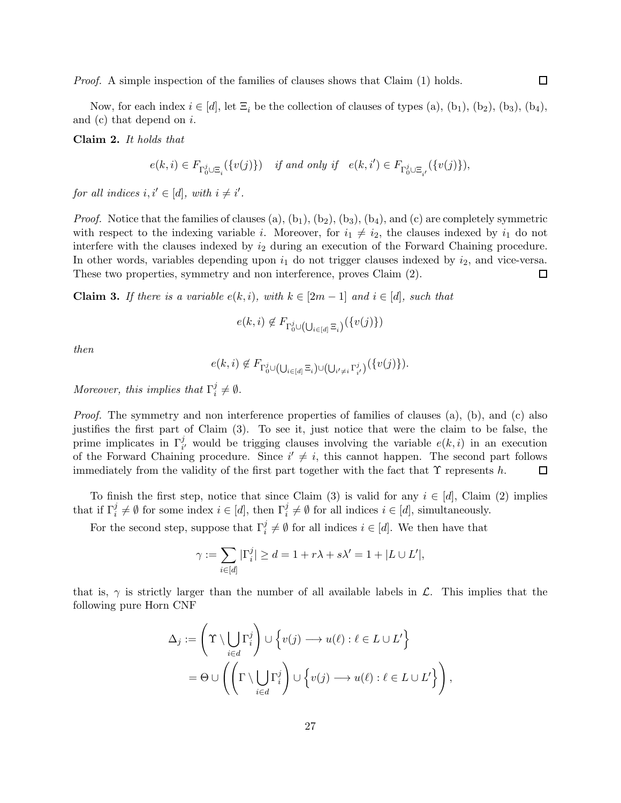Proof. A simple inspection of the families of clauses shows that Claim (1) holds.

 $\Box$ 

Now, for each index  $i \in [d]$ , let  $\Xi_i$  be the collection of clauses of types (a), (b<sub>1</sub>), (b<sub>2</sub>), (b<sub>3</sub>), (b<sub>4</sub>), and  $(c)$  that depend on  $i$ .

Claim 2. It holds that

$$
e(k,i) \in F_{\Gamma_0^j \cup \Xi_i}(\{v(j)\}) \quad \text{if and only if} \quad e(k,i') \in F_{\Gamma_0^j \cup \Xi_{i'}}(\{v(j)\}),
$$

for all indices  $i, i' \in [d]$ , with  $i \neq i'$ .

*Proof.* Notice that the families of clauses (a),  $(b_1)$ ,  $(b_2)$ ,  $(b_3)$ ,  $(b_4)$ , and (c) are completely symmetric with respect to the indexing variable *i*. Moreover, for  $i_1 \neq i_2$ , the clauses indexed by  $i_1$  do not interfere with the clauses indexed by  $i_2$  during an execution of the Forward Chaining procedure. In other words, variables depending upon  $i_1$  do not trigger clauses indexed by  $i_2$ , and vice-versa. These two properties, symmetry and non interference, proves Claim (2).  $\Box$ 

**Claim 3.** If there is a variable  $e(k, i)$ , with  $k \in [2m - 1]$  and  $i \in [d]$ , such that

$$
e(k,i) \notin F_{\Gamma_0^j \cup (\bigcup_{i \in [d]} \Xi_i)}(\{v(j)\})
$$

then

$$
e(k,i) \notin F_{\Gamma_0^j \cup \left(\bigcup_{i \in [d]} \Xi_i\right) \cup \left(\bigcup_{i' \neq i} \Gamma_{i'}^j\right)}(\{v(j)\}).
$$

Moreover, this implies that  $\Gamma_i^j$  $i^j \neq \emptyset$ .

Proof. The symmetry and non interference properties of families of clauses (a), (b), and (c) also justifies the first part of Claim (3). To see it, just notice that were the claim to be false, the prime implicates in  $\Gamma_{i'}^j$  would be trigging clauses involving the variable  $e(k, i)$  in an execution of the Forward Chaining procedure. Since  $i' \neq i$ , this cannot happen. The second part follows immediately from the validity of the first part together with the fact that  $\Upsilon$  represents h.  $\Box$ 

To finish the first step, notice that since Claim (3) is valid for any  $i \in [d]$ , Claim (2) implies that if  $\Gamma_i^j \neq \emptyset$  for some index  $i \in [d]$ , then  $\Gamma_i^j \neq \emptyset$  for all indices  $i \in [d]$ , simultaneously.

For the second step, suppose that  $\Gamma_i^j \neq \emptyset$  for all indices  $i \in [d]$ . We then have that

$$
\gamma := \sum_{i \in [d]} |\Gamma_i^j| \ge d = 1 + r\lambda + s\lambda' = 1 + |L \cup L'|,
$$

that is,  $\gamma$  is strictly larger than the number of all available labels in  $\mathcal{L}$ . This implies that the following pure Horn CNF

$$
\Delta_j := \left(\Upsilon \setminus \bigcup_{i \in d} \Gamma_i^j\right) \cup \left\{v(j) \longrightarrow u(\ell) : \ell \in L \cup L'\right\}
$$

$$
= \Theta \cup \left(\left(\Gamma \setminus \bigcup_{i \in d} \Gamma_i^j\right) \cup \left\{v(j) \longrightarrow u(\ell) : \ell \in L \cup L'\right\}\right),
$$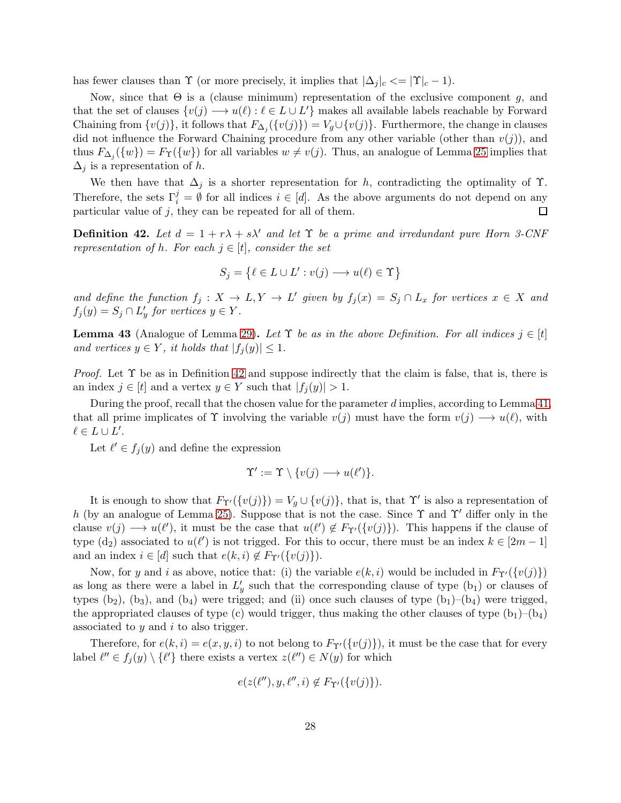has fewer clauses than  $\Upsilon$  (or more precisely, it implies that  $|\Delta_j|_c \leq |\Upsilon|_c - 1$ ).

Now, since that  $\Theta$  is a (clause minimum) representation of the exclusive component q, and that the set of clauses  $\{v(j) \longrightarrow u(\ell) : \ell \in L \cup L'\}$  makes all available labels reachable by Forward Chaining from  $\{v(j)\}\$ , it follows that  $F_{\Delta_j}(\{v(j)\}) = V_g \cup \{v(j)\}\$ . Furthermore, the change in clauses did not influence the Forward Chaining procedure from any other variable (other than  $v(j)$ ), and thus  $F_{\Delta_j}(\{w\}) = F_{\Upsilon}(\{w\})$  for all variables  $w \neq v(j)$ . Thus, an analogue of Lemma [25](#page-12-0) implies that  $\Delta_j$  is a representation of h.

We then have that  $\Delta_j$  is a shorter representation for h, contradicting the optimality of  $\Upsilon$ . Therefore, the sets  $\Gamma_i^j = \emptyset$  for all indices  $i \in [d]$ . As the above arguments do not depend on any particular value of  $j$ , they can be repeated for all of them.

<span id="page-27-0"></span>**Definition 42.** Let  $d = 1 + r\lambda + s\lambda'$  and let  $\Upsilon$  be a prime and irredundant pure Horn 3-CNF representation of h. For each  $j \in [t]$ , consider the set

$$
S_j = \{ \ell \in L \cup L' : v(j) \longrightarrow u(\ell) \in \Upsilon \}
$$

and define the function  $f_j: X \to L, Y \to L'$  given by  $f_j(x) = S_j \cap L_x$  for vertices  $x \in X$  and  $f_j(y) = S_j \cap L'_y$  for vertices  $y \in Y$ .

**Lemma 43** (Analogue of Lemma [29\)](#page-15-1). Let  $\Upsilon$  be as in the above Definition. For all indices  $j \in [t]$ and vertices  $y \in Y$ , it holds that  $|f_i(y)| \leq 1$ .

*Proof.* Let  $\Upsilon$  be as in Definition [42](#page-27-0) and suppose indirectly that the claim is false, that is, there is an index  $j \in [t]$  and a vertex  $y \in Y$  such that  $|f_i(y)| > 1$ .

During the proof, recall that the chosen value for the parameter d implies, according to Lemma [41,](#page-25-0) that all prime implicates of  $\Upsilon$  involving the variable  $v(j)$  must have the form  $v(j) \longrightarrow u(\ell)$ , with  $\ell \in L \cup L'.$ 

Let  $\ell' \in f_j(y)$  and define the expression

$$
\Upsilon' := \Upsilon \setminus \{v(j) \longrightarrow u(\ell')\}.
$$

It is enough to show that  $F_{\Upsilon'}(\{v(j)\}) = V_g \cup \{v(j)\}\$ , that is, that  $\Upsilon'$  is also a representation of h (by an analogue of Lemma [25\)](#page-12-0). Suppose that is not the case. Since  $\Upsilon$  and  $\Upsilon'$  differ only in the clause  $v(j) \longrightarrow u(\ell')$ , it must be the case that  $u(\ell') \notin F_{\Upsilon'}(\{v(j)\})$ . This happens if the clause of type (d<sub>2</sub>) associated to  $u(\ell')$  is not trigged. For this to occur, there must be an index  $k \in [2m-1]$ and an index  $i \in [d]$  such that  $e(k, i) \notin F_{\Upsilon'}(\{v(j)\})$ .

Now, for y and i as above, notice that: (i) the variable  $e(k, i)$  would be included in  $F_{\Upsilon'}(\{v(j)\})$ as long as there were a label in  $L'_y$  such that the corresponding clause of type  $(b_1)$  or clauses of types  $(b_2)$ ,  $(b_3)$ , and  $(b_4)$  were trigged; and (ii) once such clauses of type  $(b_1)$ – $(b_4)$  were trigged, the appropriated clauses of type (c) would trigger, thus making the other clauses of type  $(b_1)$ – $(b_4)$ associated to  $y$  and  $i$  to also trigger.

Therefore, for  $e(k, i) = e(x, y, i)$  to not belong to  $F_{\Upsilon'}(\{v(j)\})$ , it must be the case that for every label  $\ell'' \in f_j(y) \setminus {\ell'}$  there exists a vertex  $z(\ell'') \in N(y)$  for which

$$
e(z(\ell''), y, \ell'', i) \notin F_{\Upsilon'}(\{v(j)\}).
$$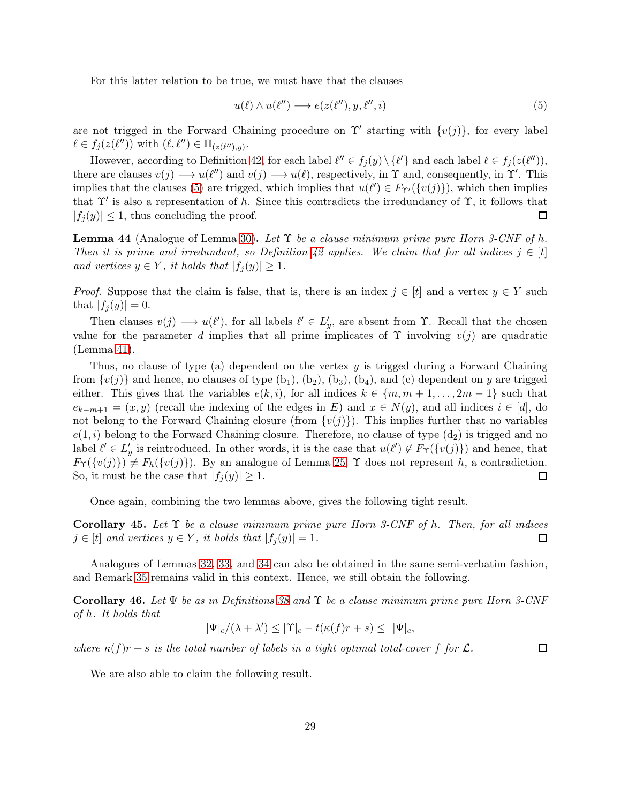For this latter relation to be true, we must have that the clauses

<span id="page-28-0"></span>
$$
u(\ell) \wedge u(\ell'') \longrightarrow e(z(\ell''), y, \ell'', i) \tag{5}
$$

are not trigged in the Forward Chaining procedure on  $\Upsilon'$  starting with  $\{v(j)\}\text{, for every label }$  $\ell \in f_j(z(\ell''))$  with  $(\ell, \ell'') \in \Pi_{(z(\ell''),y)}$ .

However, according to Definition [42,](#page-27-0) for each label  $\ell'' \in f_j(y) \setminus {\{\ell'\}}$  and each label  $\ell \in f_j(z(\ell''))$ , there are clauses  $v(j) \longrightarrow u(\ell'')$  and  $v(j) \longrightarrow u(\ell)$ , respectively, in  $\Upsilon$  and, consequently, in  $\Upsilon'$ . This implies that the clauses [\(5\)](#page-28-0) are trigged, which implies that  $u(\ell') \in F_{\Upsilon'}(\{v(j)\})$ , which then implies that  $\Upsilon'$  is also a representation of h. Since this contradicts the irredundancy of  $\Upsilon$ , it follows that  $|f_i(y)| \leq 1$ , thus concluding the proof. □

**Lemma 44** (Analogue of Lemma [30\)](#page-15-2). Let  $\Upsilon$  be a clause minimum prime pure Horn 3-CNF of h. Then it is prime and irredundant, so Definition [42](#page-27-0) applies. We claim that for all indices  $j \in [t]$ and vertices  $y \in Y$ , it holds that  $|f_i(y)| \geq 1$ .

*Proof.* Suppose that the claim is false, that is, there is an index  $j \in [t]$  and a vertex  $y \in Y$  such that  $|f_i(y)| = 0$ .

Then clauses  $v(j) \longrightarrow u(\ell')$ , for all labels  $\ell' \in L'_j$ , are absent from  $\Upsilon$ . Recall that the chosen value for the parameter d implies that all prime implicates of  $\Upsilon$  involving  $v(j)$  are quadratic (Lemma [41\)](#page-25-0).

Thus, no clause of type (a) dependent on the vertex y is trigged during a Forward Chaining from  $\{v(j)\}\$ and hence, no clauses of type  $(b_1)$ ,  $(b_2)$ ,  $(b_3)$ ,  $(b_4)$ , and (c) dependent on y are trigged either. This gives that the variables  $e(k, i)$ , for all indices  $k \in \{m, m+1, \ldots, 2m-1\}$  such that  $e_{k-m+1} = (x, y)$  (recall the indexing of the edges in E) and  $x \in N(y)$ , and all indices  $i \in [d]$ , do not belong to the Forward Chaining closure (from  $\{v(j)\}\)$ ). This implies further that no variables  $e(1, i)$  belong to the Forward Chaining closure. Therefore, no clause of type  $(d_2)$  is trigged and no label  $\ell' \in L'_y$  is reintroduced. In other words, it is the case that  $u(\ell') \notin F_{\Upsilon}(\{v(j)\})$  and hence, that  $F_{\Upsilon}(\{v(j)\}) \neq F_h(\{v(j)\})$ . By an analogue of Lemma [25,](#page-12-0)  $\Upsilon$  does not represent h, a contradiction. So, it must be the case that  $|f_i(y)| \geq 1$ .  $\Box$ 

Once again, combining the two lemmas above, gives the following tight result.

Corollary 45. Let  $\Upsilon$  be a clause minimum prime pure Horn 3-CNF of h. Then, for all indices  $j \in [t]$  and vertices  $y \in Y$ , it holds that  $|f_i(y)| = 1$ .  $\Box$ 

Analogues of Lemmas [32,](#page-16-1) [33,](#page-16-2) and [34](#page-17-2) can also be obtained in the same semi-verbatim fashion, and Remark [35](#page-17-3) remains valid in this context. Hence, we still obtain the following.

<span id="page-28-1"></span>**Corollary 46.** Let  $\Psi$  be as in Definitions [38](#page-23-0) and  $\Upsilon$  be a clause minimum prime pure Horn 3-CNF of h. It holds that

$$
|\Psi|_c/(\lambda + \lambda') \le |\Upsilon|_c - t(\kappa(f)r + s) \le |\Psi|_c,
$$

where  $\kappa(f)r + s$  is the total number of labels in a tight optimal total-cover f for  $\mathcal{L}$ .

We are also able to claim the following result.

 $\Box$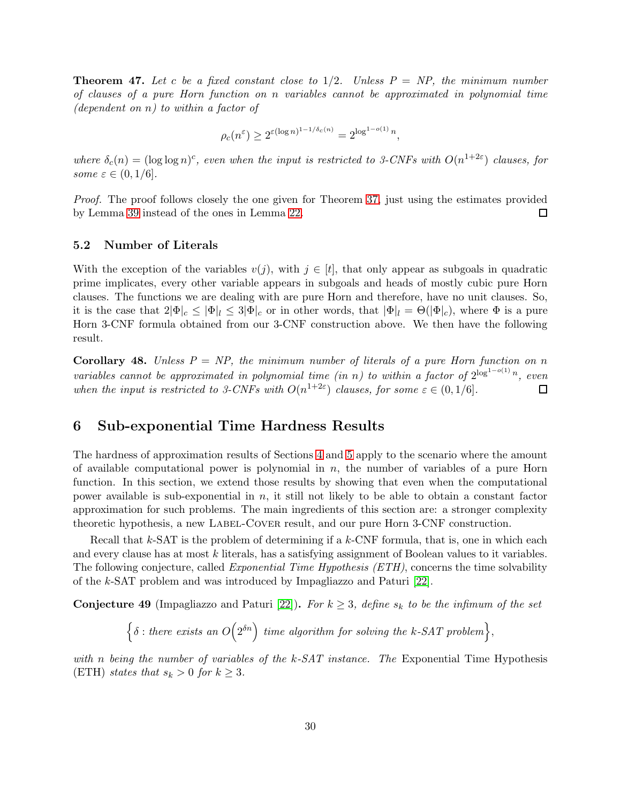<span id="page-29-2"></span>**Theorem 47.** Let c be a fixed constant close to  $1/2$ . Unless  $P = NP$ , the minimum number of clauses of a pure Horn function on n variables cannot be approximated in polynomial time (dependent on  $n$ ) to within a factor of

$$
\rho_c(n^{\varepsilon}) \ge 2^{\varepsilon(\log n)^{1-1/\delta_c(n)}} = 2^{\log^{1-o(1)} n},
$$

where  $\delta_c(n) = (\log \log n)^c$ , even when the input is restricted to 3-CNFs with  $O(n^{1+2\varepsilon})$  clauses, for some  $\varepsilon \in (0,1/6]$ .

Proof. The proof follows closely the one given for Theorem [37,](#page-17-4) just using the estimates provided by Lemma [39](#page-23-1) instead of the ones in Lemma [22.](#page-11-0)  $\Box$ 

#### 5.2 Number of Literals

With the exception of the variables  $v(j)$ , with  $j \in [t]$ , that only appear as subgoals in quadratic prime implicates, every other variable appears in subgoals and heads of mostly cubic pure Horn clauses. The functions we are dealing with are pure Horn and therefore, have no unit clauses. So, it is the case that  $2|\Phi|_c \leq |\Phi|_l \leq 3|\Phi|_c$  or in other words, that  $|\Phi|_l = \Theta(|\Phi|_c)$ , where  $\Phi$  is a pure Horn 3-CNF formula obtained from our 3-CNF construction above. We then have the following result.

Corollary 48. Unless  $P = NP$ , the minimum number of literals of a pure Horn function on n variables cannot be approximated in polynomial time (in n) to within a factor of  $2^{\log^{1-o(1)} n}$ , even when the input is restricted to 3-CNFs with  $O(n^{1+2\varepsilon})$  clauses, for some  $\varepsilon \in (0,1/6]$ .  $\Box$ 

## <span id="page-29-0"></span>6 Sub-exponential Time Hardness Results

The hardness of approximation results of Sections [4](#page-9-0) and [5](#page-19-0) apply to the scenario where the amount of available computational power is polynomial in  $n$ , the number of variables of a pure Horn function. In this section, we extend those results by showing that even when the computational power available is sub-exponential in  $n$ , it still not likely to be able to obtain a constant factor approximation for such problems. The main ingredients of this section are: a stronger complexity theoretic hypothesis, a new Label-Cover result, and our pure Horn 3-CNF construction.

Recall that  $k$ -SAT is the problem of determining if a  $k$ -CNF formula, that is, one in which each and every clause has at most k literals, has a satisfying assignment of Boolean values to it variables. The following conjecture, called *Exponential Time Hypothesis (ETH)*, concerns the time solvability of the k-SAT problem and was introduced by Impagliazzo and Paturi [\[22\]](#page-38-4).

<span id="page-29-1"></span>**Conjecture 49** (Impagliazzo and Paturi [\[22\]](#page-38-4)). For  $k \geq 3$ , define  $s_k$  to be the infimum of the set

$$
\left\{\delta: \text{there exists an } O\left(2^{\delta n}\right) \text{ time algorithm for solving the } k\text{-SAT problem}\right\},\right
$$

with n being the number of variables of the  $k$ -SAT instance. The Exponential Time Hypothesis (ETH) states that  $s_k > 0$  for  $k \geq 3$ .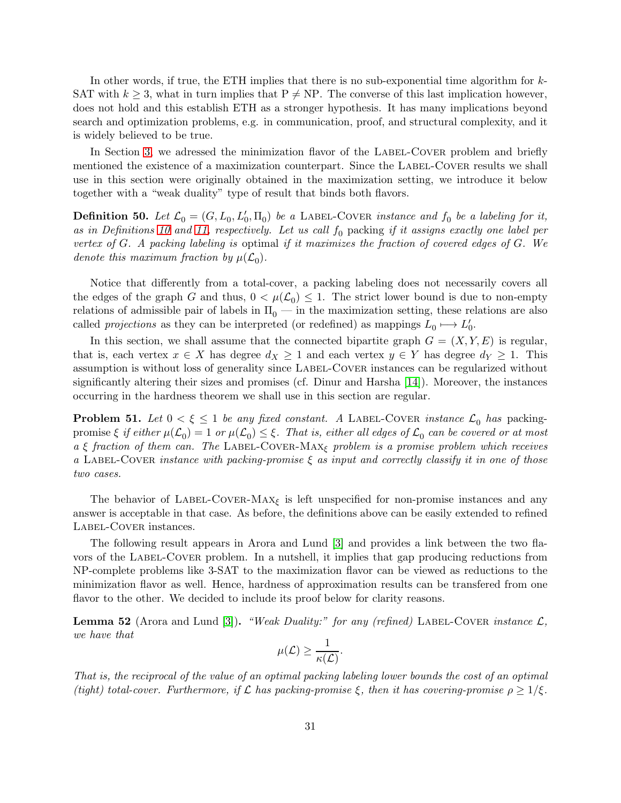In other words, if true, the ETH implies that there is no sub-exponential time algorithm for  $k$ -SAT with  $k \geq 3$ , what in turn implies that  $P \neq NP$ . The converse of this last implication however, does not hold and this establish ETH as a stronger hypothesis. It has many implications beyond search and optimization problems, e.g. in communication, proof, and structural complexity, and it is widely believed to be true.

In Section [3,](#page-6-0) we adressed the minimization flavor of the LABEL-COVER problem and briefly mentioned the existence of a maximization counterpart. Since the LABEL-COVER results we shall use in this section were originally obtained in the maximization setting, we introduce it below together with a "weak duality" type of result that binds both flavors.

**Definition 50.** Let  $\mathcal{L}_0 = (G, L_0, L'_0, \Pi_0)$  be a LABEL-COVER instance and  $f_0$  be a labeling for it, as in Definitions [10](#page-7-1) and [11,](#page-7-0) respectively. Let us call  $f_0$  packing if it assigns exactly one label per vertex of  $G$ . A packing labeling is optimal if it maximizes the fraction of covered edges of  $G$ . We denote this maximum fraction by  $\mu(\mathcal{L}_0)$ .

Notice that differently from a total-cover, a packing labeling does not necessarily covers all the edges of the graph G and thus,  $0 < \mu(\mathcal{L}_0) \leq 1$ . The strict lower bound is due to non-empty relations of admissible pair of labels in  $\Pi_0$  — in the maximization setting, these relations are also called *projections* as they can be interpreted (or redefined) as mappings  $L_0 \mapsto L'_0$ .

In this section, we shall assume that the connected bipartite graph  $G = (X, Y, E)$  is regular, that is, each vertex  $x \in X$  has degree  $d_X \geq 1$  and each vertex  $y \in Y$  has degree  $d_Y \geq 1$ . This assumption is without loss of generality since Label-Cover instances can be regularized without significantly altering their sizes and promises (cf. Dinur and Harsha [\[14\]](#page-37-8)). Moreover, the instances occurring in the hardness theorem we shall use in this section are regular.

**Problem 51.** Let  $0 < \xi \leq 1$  be any fixed constant. A LABEL-COVER instance  $\mathcal{L}_0$  has packingpromise  $\xi$  if either  $\mu(\mathcal{L}_0)=1$  or  $\mu(\mathcal{L}_0)\leq \xi$ . That is, either all edges of  $\mathcal{L}_0$  can be covered or at most a ξ fraction of them can. The LABEL-COVER-MAX<sub>ξ</sub> problem is a promise problem which receives a LABEL-COVER instance with packing-promise  $\xi$  as input and correctly classify it in one of those two cases.

The behavior of LABEL-COVER-MAX<sub> $\xi$ </sub> is left unspecified for non-promise instances and any answer is acceptable in that case. As before, the definitions above can be easily extended to refined LABEL-COVER instances.

The following result appears in Arora and Lund [\[3\]](#page-36-6) and provides a link between the two flavors of the LABEL-COVER problem. In a nutshell, it implies that gap producing reductions from NP-complete problems like 3-SAT to the maximization flavor can be viewed as reductions to the minimization flavor as well. Hence, hardness of approximation results can be transfered from one flavor to the other. We decided to include its proof below for clarity reasons.

<span id="page-30-0"></span>**Lemma 52** (Arora and Lund [\[3\]](#page-36-6)). "Weak Duality:" for any (refined) LABEL-COVER instance  $\mathcal{L}$ , we have that

$$
\mu(\mathcal{L}) \geq \frac{1}{\kappa(\mathcal{L})}.
$$

That is, the reciprocal of the value of an optimal packing labeling lower bounds the cost of an optimal (tight) total-cover. Furthermore, if  $\mathcal L$  has packing-promise  $\xi$ , then it has covering-promise  $\rho \geq 1/\xi$ .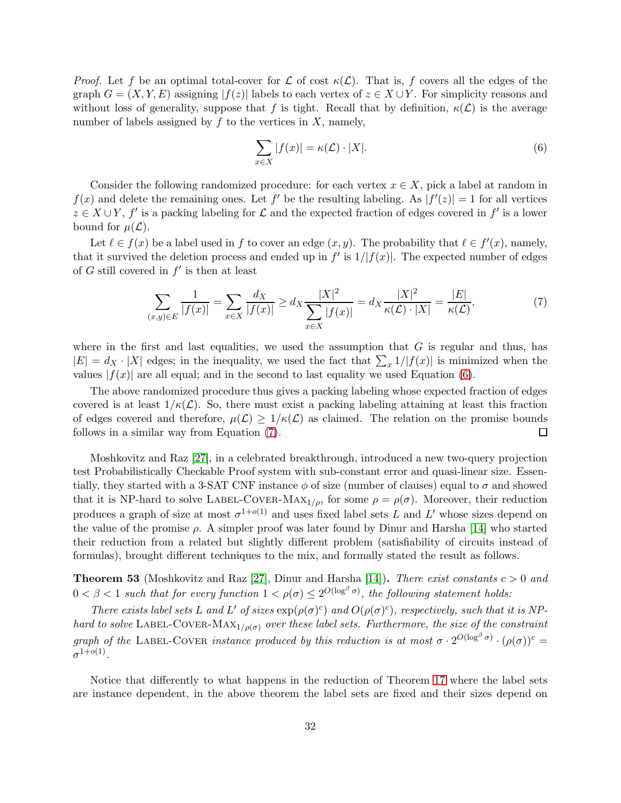*Proof.* Let f be an optimal total-cover for  $\mathcal L$  of cost  $\kappa(\mathcal L)$ . That is, f covers all the edges of the graph  $G = (X, Y, E)$  assigning  $|f(z)|$  labels to each vertex of  $z \in X \cup Y$ . For simplicity reasons and without loss of generality, suppose that f is tight. Recall that by definition,  $\kappa(\mathcal{L})$  is the average number of labels assigned by  $f$  to the vertices in  $X$ , namely,

<span id="page-31-0"></span>
$$
\sum_{x \in X} |f(x)| = \kappa(\mathcal{L}) \cdot |X|.
$$
 (6)

Consider the following randomized procedure: for each vertex  $x \in X$ , pick a label at random in  $f(x)$  and delete the remaining ones. Let  $f'$  be the resulting labeling. As  $|f'(z)| = 1$  for all vertices  $z \in X \cup Y$ , f' is a packing labeling for  $\mathcal L$  and the expected fraction of edges covered in f' is a lower bound for  $\mu(\mathcal{L})$ .

Let  $\ell \in f(x)$  be a label used in f to cover an edge  $(x, y)$ . The probability that  $\ell \in f'(x)$ , namely, that it survived the deletion process and ended up in  $f'$  is  $1/|f(x)|$ . The expected number of edges of G still covered in  $f'$  is then at least

<span id="page-31-1"></span>
$$
\sum_{(x,y)\in E} \frac{1}{|f(x)|} = \sum_{x\in X} \frac{d_X}{|f(x)|} \ge d_X \frac{|X|^2}{\sum_{x\in X} |f(x)|} = d_X \frac{|X|^2}{\kappa(\mathcal{L}) \cdot |X|} = \frac{|E|}{\kappa(\mathcal{L})},\tag{7}
$$

where in the first and last equalities, we used the assumption that  $G$  is regular and thus, has  $|E| = d_X \cdot |X|$  edges; in the inequality, we used the fact that  $\sum_x 1/|f(x)|$  is minimized when the values  $|f(x)|$  are all equal; and in the second to last equality we used Equation [\(6\)](#page-31-0).

The above randomized procedure thus gives a packing labeling whose expected fraction of edges covered is at least  $1/\kappa(\mathcal{L})$ . So, there must exist a packing labeling attaining at least this fraction of edges covered and therefore,  $\mu(\mathcal{L}) \geq 1/\kappa(\mathcal{L})$  as claimed. The relation on the promise bounds follows in a similar way from Equation [\(7\)](#page-31-1).  $\Box$ 

Moshkovitz and Raz [\[27\]](#page-38-7), in a celebrated breakthrough, introduced a new two-query projection test Probabilistically Checkable Proof system with sub-constant error and quasi-linear size. Essentially, they started with a 3-SAT CNF instance  $\phi$  of size (number of clauses) equal to  $\sigma$  and showed that it is NP-hard to solve LABEL-COVER-MAX<sub>1/ρ</sub>, for some  $\rho = \rho(\sigma)$ . Moreover, their reduction produces a graph of size at most  $\sigma^{1+o(1)}$  and uses fixed label sets L and L' whose sizes depend on the value of the promise  $\rho$ . A simpler proof was later found by Dinur and Harsha [\[14\]](#page-37-8) who started their reduction from a related but slightly different problem (satisfiability of circuits instead of formulas), brought different techniques to the mix, and formally stated the result as follows.

<span id="page-31-2"></span>**Theorem 53** (Moshkovitz and Raz [\[27\]](#page-38-7), Dinur and Harsha [\[14\]](#page-37-8)). There exist constants  $c > 0$  and  $0 < \beta < 1$  such that for every function  $1 < \rho(\sigma) \leq 2^{O(\log^{\beta} \sigma)}$ , the following statement holds:

There exists label sets L and L' of sizes  $\exp(\rho(\sigma)^c)$  and  $O(\rho(\sigma)^c)$ , respectively, such that it is NPhard to solve LABEL-COVER-MAX<sub>1/ρ(σ)</sub> over these label sets. Furthermore, the size of the constraint graph of the LABEL-COVER instance produced by this reduction is at most  $\sigma \cdot 2^{O(\log^{\beta} \sigma)} \cdot (\rho(\sigma))^c =$  $\sigma^{1+o(1)}$  .

Notice that differently to what happens in the reduction of Theorem [17](#page-8-1) where the label sets are instance dependent, in the above theorem the label sets are fixed and their sizes depend on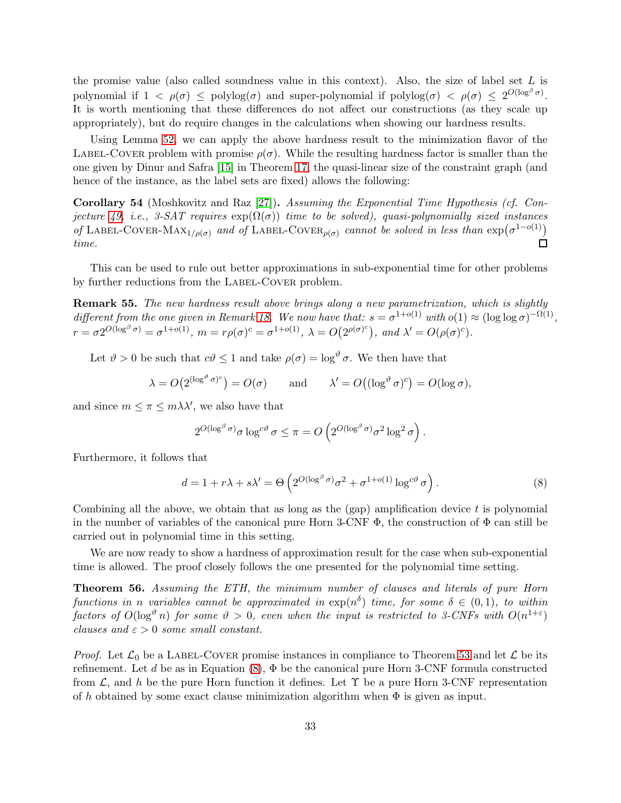the promise value (also called soundness value in this context). Also, the size of label set  $L$  is polynomial if  $1 < \rho(\sigma) \leq \text{polylog}(\sigma)$  and super-polynomial if  $\text{polylog}(\sigma) < \rho(\sigma) \leq 2^{O(\log^{\beta} \sigma)}$ . It is worth mentioning that these differences do not affect our constructions (as they scale up appropriately), but do require changes in the calculations when showing our hardness results.

Using Lemma [52,](#page-30-0) we can apply the above hardness result to the minimization flavor of the LABEL-COVER problem with promise  $\rho(\sigma)$ . While the resulting hardness factor is smaller than the one given by Dinur and Safra [\[15\]](#page-37-7) in Theorem [17,](#page-8-1) the quasi-linear size of the constraint graph (and hence of the instance, as the label sets are fixed) allows the following:

Corollary 54 (Moshkovitz and Raz [\[27\]](#page-38-7)). Assuming the Exponential Time Hypothesis (cf. Con-jecture [49,](#page-29-1) i.e., 3-SAT requires  $exp(\Omega(\sigma))$  time to be solved), quasi-polynomially sized instances of LABEL-COVER-MAX<sub>1/ $\rho(\sigma)$ </sub> and of LABEL-COVER<sub> $\rho(\sigma)$ </sub> cannot be solved in less than  $\exp(\sigma^{1-o(1)})$ time.  $\Box$ 

This can be used to rule out better approximations in sub-exponential time for other problems by further reductions from the LABEL-COVER problem.

<span id="page-32-1"></span>Remark 55. The new hardness result above brings along a new parametrization, which is slightly different from the one given in Remark [18.](#page-8-2) We now have that:  $s = \sigma^{1+o(1)}$  with  $o(1) \approx (\log \log \sigma)^{-\Omega(1)}$ ,  $r = \sigma 2^{O(\log^{\beta} \sigma)} = \sigma^{1+o(1)}, \ m = r\rho(\sigma)^c = \sigma^{1+o(1)}, \ \lambda = O(2^{\rho(\sigma)^c}), \ and \ \lambda' = O(\rho(\sigma)^c).$ 

Let  $\vartheta > 0$  be such that  $c\vartheta \leq 1$  and take  $\rho(\sigma) = \log^{\vartheta} \sigma$ . We then have that

$$
\lambda = O(2^{(\log^{\vartheta} \sigma)^c}) = O(\sigma)
$$
 and  $\lambda' = O((\log^{\vartheta} \sigma)^c) = O(\log \sigma)$ ,

and since  $m \leq \pi \leq m\lambda\lambda'$ , we also have that

$$
2^{O(\log^{\beta} \sigma)} \sigma \log^{c\vartheta} \sigma \leq \pi = O\left(2^{O(\log^{\beta} \sigma)} \sigma^2 \log^2 \sigma\right).
$$

Furthermore, it follows that

<span id="page-32-0"></span>
$$
d = 1 + r\lambda + s\lambda' = \Theta\left(2^{O(\log^{\beta}\sigma)}\sigma^2 + \sigma^{1+o(1)}\log^{c\vartheta}\sigma\right). \tag{8}
$$

Combining all the above, we obtain that as long as the  $(qap)$  amplification device t is polynomial in the number of variables of the canonical pure Horn 3-CNF  $\Phi$ , the construction of  $\Phi$  can still be carried out in polynomial time in this setting.

We are now ready to show a hardness of approximation result for the case when sub-exponential time is allowed. The proof closely follows the one presented for the polynomial time setting.

<span id="page-32-2"></span>Theorem 56. Assuming the ETH, the minimum number of clauses and literals of pure Horn functions in n variables cannot be approximated in  $\exp(n^{\delta})$  time, for some  $\delta \in (0,1)$ , to within factors of  $O(\log^{\vartheta} n)$  for some  $\vartheta > 0$ , even when the input is restricted to 3-CNFs with  $O(n^{1+\varepsilon})$ clauses and  $\varepsilon > 0$  some small constant.

*Proof.* Let  $\mathcal{L}_0$  be a LABEL-COVER promise instances in compliance to Theorem [53](#page-31-2) and let  $\mathcal{L}$  be its refinement. Let d be as in Equation [\(8\)](#page-32-0),  $\Phi$  be the canonical pure Horn 3-CNF formula constructed from  $\mathcal{L}$ , and h be the pure Horn function it defines. Let  $\Upsilon$  be a pure Horn 3-CNF representation of h obtained by some exact clause minimization algorithm when  $\Phi$  is given as input.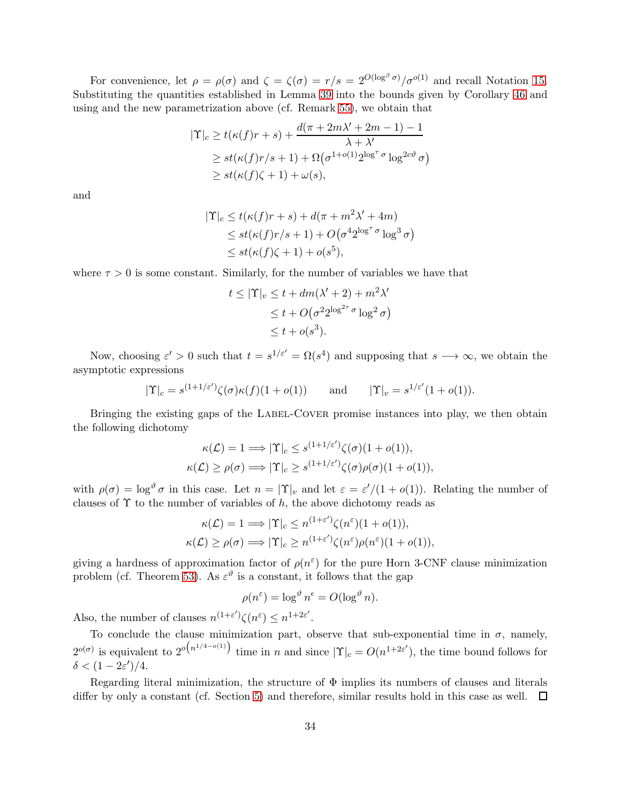For convenience, let  $\rho = \rho(\sigma)$  and  $\zeta = \zeta(\sigma) = r/s = 2^{O(\log^{\beta} \sigma)}/\sigma^{O(1)}$  and recall Notation [15.](#page-8-3) Substituting the quantities established in Lemma [39](#page-23-1) into the bounds given by Corollary [46](#page-28-1) and using and the new parametrization above (cf. Remark [55\)](#page-32-1), we obtain that

$$
|\Upsilon|_c \ge t(\kappa(f)r+s) + \frac{d(\pi + 2m\lambda' + 2m - 1) - 1}{\lambda + \lambda'}
$$
  
 
$$
\ge st(\kappa(f)r/s + 1) + \Omega(\sigma^{1+o(1)}2^{\log^{\tau}\sigma}\log^{2c\vartheta}\sigma)
$$
  
 
$$
\ge st(\kappa(f)\zeta + 1) + \omega(s),
$$

and

$$
|\Upsilon|_c \le t(\kappa(f)r+s) + d(\pi + m^2\lambda' + 4m)
$$
  
\n
$$
\le st(\kappa(f)r/s+1) + O(\sigma^4 2^{\log^{\tau} \sigma} \log^3 \sigma)
$$
  
\n
$$
\le st(\kappa(f)\zeta+1) + o(s^5),
$$

where  $\tau > 0$  is some constant. Similarly, for the number of variables we have that

$$
t \leq |\Upsilon|_v \leq t + dm(\lambda' + 2) + m^2 \lambda'
$$
  
\n
$$
\leq t + O(\sigma^2 2^{\log^{2\tau} \sigma} \log^2 \sigma)
$$
  
\n
$$
\leq t + o(s^3).
$$

Now, choosing  $\varepsilon' > 0$  such that  $t = s^{1/\varepsilon'} = \Omega(s^4)$  and supposing that  $s \to \infty$ , we obtain the asymptotic expressions

$$
|\Upsilon|_c = s^{(1+1/\varepsilon')}\zeta(\sigma)\kappa(f)(1+o(1)) \quad \text{and} \quad |\Upsilon|_v = s^{1/\varepsilon'}(1+o(1)).
$$

Bringing the existing gaps of the LABEL-COVER promise instances into play, we then obtain the following dichotomy

$$
\kappa(\mathcal{L}) = 1 \Longrightarrow |\Upsilon|_c \le s^{(1+1/\varepsilon')} \zeta(\sigma)(1+o(1)),
$$
  

$$
\kappa(\mathcal{L}) \ge \rho(\sigma) \Longrightarrow |\Upsilon|_c \ge s^{(1+1/\varepsilon')} \zeta(\sigma)\rho(\sigma)(1+o(1)),
$$

with  $\rho(\sigma) = \log^{\vartheta} \sigma$  in this case. Let  $n = |\Upsilon|_v$  and let  $\varepsilon = \varepsilon'/(1 + o(1))$ . Relating the number of clauses of  $\Upsilon$  to the number of variables of h, the above dichotomy reads as

$$
\kappa(\mathcal{L}) = 1 \Longrightarrow |\Upsilon|_c \le n^{(1+\varepsilon')} \zeta(n^{\varepsilon})(1+o(1)),
$$
  

$$
\kappa(\mathcal{L}) \ge \rho(\sigma) \Longrightarrow |\Upsilon|_c \ge n^{(1+\varepsilon')} \zeta(n^{\varepsilon})\rho(n^{\varepsilon})(1+o(1)),
$$

giving a hardness of approximation factor of  $\rho(n^{\varepsilon})$  for the pure Horn 3-CNF clause minimization problem (cf. Theorem [53\)](#page-31-2). As  $\varepsilon^{\vartheta}$  is a constant, it follows that the gap

$$
\rho(n^{\varepsilon}) = \log^{\vartheta} n^{\varepsilon} = O(\log^{\vartheta} n).
$$

Also, the number of clauses  $n^{(1+\varepsilon')}\zeta(n^{\varepsilon}) \leq n^{1+2\varepsilon'}.$ 

To conclude the clause minimization part, observe that sub-exponential time in  $\sigma$ , namely,  $2^{o(\sigma)}$  is equivalent to  $2^{o(n^{1/4-o(1)})}$  time in n and since  $|\Upsilon|_c = O(n^{1+2\varepsilon'})$ , the time bound follows for  $\delta < (1-2\varepsilon')/4.$ 

Regarding literal minimization, the structure of  $\Phi$  implies its numbers of clauses and literals differ by only a constant (cf. Section [5\)](#page-19-0) and therefore, similar results hold in this case as well.  $\Box$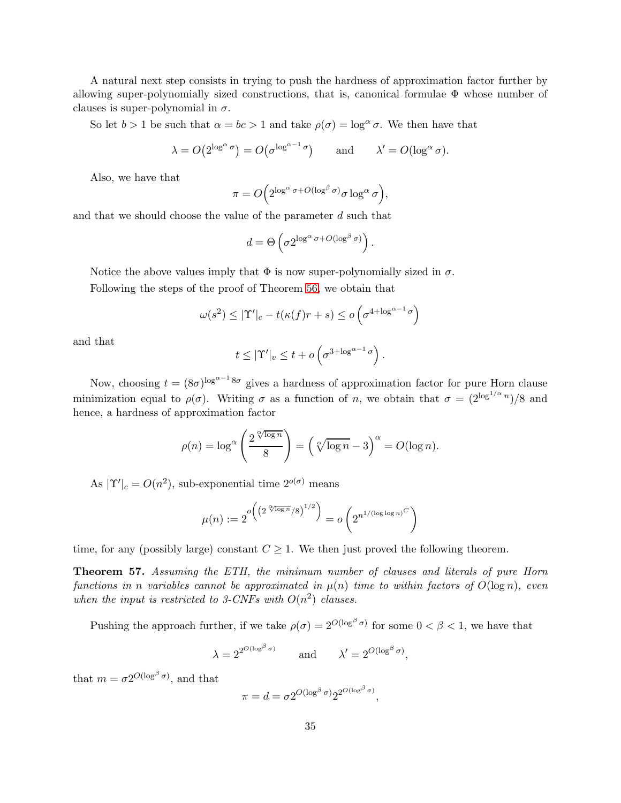A natural next step consists in trying to push the hardness of approximation factor further by allowing super-polynomially sized constructions, that is, canonical formulae  $\Phi$  whose number of clauses is super-polynomial in  $\sigma$ .

So let  $b > 1$  be such that  $\alpha = bc > 1$  and take  $\rho(\sigma) = \log^{\alpha} \sigma$ . We then have that

$$
\lambda = O(2^{\log^{\alpha} \sigma}) = O(\sigma^{\log^{\alpha-1} \sigma})
$$
 and  $\lambda' = O(\log^{\alpha} \sigma)$ .

Also, we have that

$$
\pi = O\Big(2^{\log^{\alpha} \sigma + O(\log^{\beta} \sigma)}\sigma \log^{\alpha} \sigma\Big),\,
$$

and that we should choose the value of the parameter d such that

$$
d = \Theta\left(\sigma 2^{\log^{\alpha} \sigma + O(\log^{\beta} \sigma)}\right).
$$

Notice the above values imply that  $\Phi$  is now super-polynomially sized in  $\sigma$ .

Following the steps of the proof of Theorem [56,](#page-32-2) we obtain that

$$
\omega(s^2) \le |\Upsilon'|_c - t(\kappa(f)r + s) \le o\left(\sigma^{4 + \log^{\alpha - 1} \sigma}\right)
$$

and that

$$
t \leq |\Upsilon'|_v \leq t + o\left(\sigma^{3 + \log^{\alpha - 1} \sigma}\right).
$$

Now, choosing  $t = (8\sigma)^{\log^{\alpha-1} 8\sigma}$  gives a hardness of approximation factor for pure Horn clause minimization equal to  $\rho(\sigma)$ . Writing  $\sigma$  as a function of n, we obtain that  $\sigma = (2^{\log^{1/\alpha} n})/8$  and hence, a hardness of approximation factor

$$
\rho(n) = \log^{\alpha} \left( \frac{2^{\sqrt[n]{\log n}}}{8} \right) = \left( \sqrt[n]{\log n} - 3 \right)^{\alpha} = O(\log n).
$$

As  $|\Upsilon'|_c = O(n^2)$ , sub-exponential time  $2^{o(\sigma)}$  means

$$
\mu(n) := 2^{o\left(\left(2^{\sqrt[{\log n}}/8\right)^{1/2}\right)} = o\left(2^{n^{1/(\log \log n)^C}}\right)
$$

time, for any (possibly large) constant  $C \geq 1$ . We then just proved the following theorem.

<span id="page-34-0"></span>Theorem 57. Assuming the ETH, the minimum number of clauses and literals of pure Horn functions in n variables cannot be approximated in  $\mu(n)$  time to within factors of  $O(\log n)$ , even when the input is restricted to 3-CNFs with  $O(n^2)$  clauses.

Pushing the approach further, if we take  $\rho(\sigma) = 2^{O(\log^{\beta} \sigma)}$  for some  $0 < \beta < 1$ , we have that

$$
\lambda = 2^{2^{O(\log^{\beta} \sigma)}} \quad \text{and} \quad \lambda' = 2^{O(\log^{\beta} \sigma)},
$$

that  $m = \sigma 2^{O(\log^{\beta} \sigma)}$ , and that

$$
\pi = d = \sigma 2^{O(\log^{\beta} \sigma)} 2^{2^{O(\log^{\beta} \sigma)}}
$$

,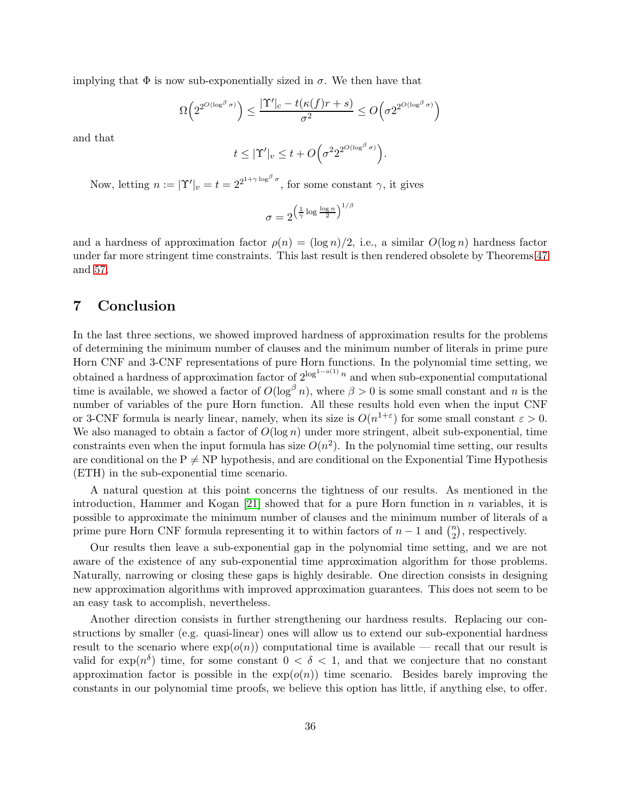implying that  $\Phi$  is now sub-exponentially sized in  $\sigma$ . We then have that

$$
\Omega\Big(2^{2^{O(\log^\beta\sigma)}}\Big)\leq \frac{|\Upsilon'|_c-t(\kappa(f)r+s)}{\sigma^2}\leq O\Big(\sigma 2^{2^{O(\log^\beta\sigma)}}\Big)
$$

and that

$$
t \leq |\Upsilon'|_v \leq t + O\Big(\sigma^2 2^{2^{O(\log^\beta \sigma)}}\Big).
$$

Now, letting  $n := |\Upsilon'|_v = t = 2^{2^{1+\gamma \log^{\beta} \sigma}}$ , for some constant  $\gamma$ , it gives

$$
\sigma = 2^{\left(\frac{1}{\gamma}\log\frac{\log n}{2}\right)^{1/\beta}}
$$

and a hardness of approximation factor  $\rho(n) = (\log n)/2$ , i.e., a similar  $O(\log n)$  hardness factor under far more stringent time constraints. This last result is then rendered obsolete by Theorems [47](#page-29-2) and [57.](#page-34-0)

# <span id="page-35-0"></span>7 Conclusion

In the last three sections, we showed improved hardness of approximation results for the problems of determining the minimum number of clauses and the minimum number of literals in prime pure Horn CNF and 3-CNF representations of pure Horn functions. In the polynomial time setting, we obtained a hardness of approximation factor of  $2^{\log^{1-o(1)} n}$  and when sub-exponential computational time is available, we showed a factor of  $O(\log^{\beta} n)$ , where  $\beta > 0$  is some small constant and n is the number of variables of the pure Horn function. All these results hold even when the input CNF or 3-CNF formula is nearly linear, namely, when its size is  $O(n^{1+\epsilon})$  for some small constant  $\epsilon > 0$ . We also managed to obtain a factor of  $O(\log n)$  under more stringent, albeit sub-exponential, time constraints even when the input formula has size  $O(n^2)$ . In the polynomial time setting, our results are conditional on the  $P \neq NP$  hypothesis, and are conditional on the Exponential Time Hypothesis (ETH) in the sub-exponential time scenario.

A natural question at this point concerns the tightness of our results. As mentioned in the introduction, Hammer and Kogan  $[21]$  showed that for a pure Horn function in n variables, it is possible to approximate the minimum number of clauses and the minimum number of literals of a prime pure Horn CNF formula representing it to within factors of  $n-1$  and  $\binom{n}{2}$  $n_2$ , respectively.

Our results then leave a sub-exponential gap in the polynomial time setting, and we are not aware of the existence of any sub-exponential time approximation algorithm for those problems. Naturally, narrowing or closing these gaps is highly desirable. One direction consists in designing new approximation algorithms with improved approximation guarantees. This does not seem to be an easy task to accomplish, nevertheless.

Another direction consists in further strengthening our hardness results. Replacing our constructions by smaller (e.g. quasi-linear) ones will allow us to extend our sub-exponential hardness result to the scenario where  $\exp(o(n))$  computational time is available — recall that our result is valid for  $\exp(n^{\delta})$  time, for some constant  $0 < \delta < 1$ , and that we conjecture that no constant approximation factor is possible in the  $exp(o(n))$  time scenario. Besides barely improving the constants in our polynomial time proofs, we believe this option has little, if anything else, to offer.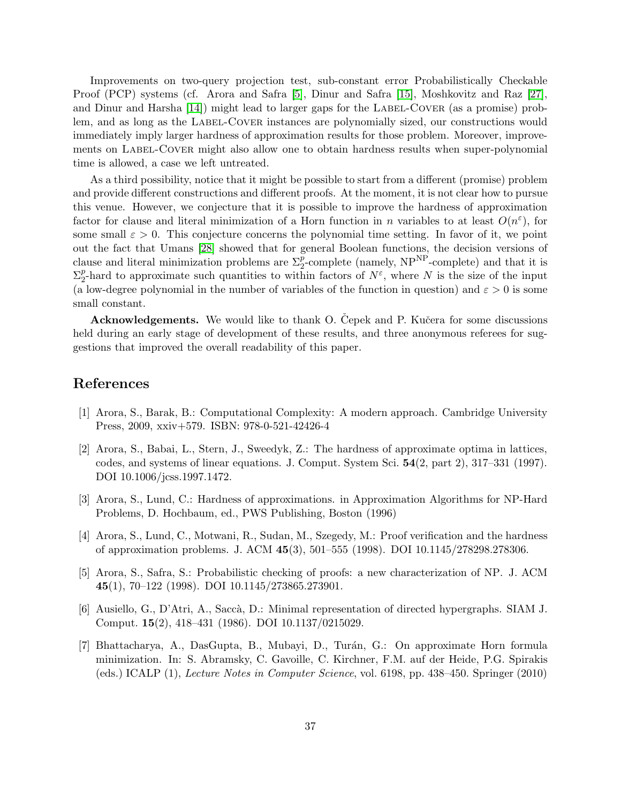Improvements on two-query projection test, sub-constant error Probabilistically Checkable Proof (PCP) systems (cf. Arora and Safra [\[5\]](#page-36-5), Dinur and Safra [\[15\]](#page-37-7), Moshkovitz and Raz [\[27\]](#page-38-7), and Dinur and Harsha  $[14]$ ) might lead to larger gaps for the LABEL-COVER (as a promise) problem, and as long as the LABEL-COVER instances are polynomially sized, our constructions would immediately imply larger hardness of approximation results for those problem. Moreover, improvements on LABEL-COVER might also allow one to obtain hardness results when super-polynomial time is allowed, a case we left untreated.

As a third possibility, notice that it might be possible to start from a different (promise) problem and provide different constructions and different proofs. At the moment, it is not clear how to pursue this venue. However, we conjecture that it is possible to improve the hardness of approximation factor for clause and literal minimization of a Horn function in n variables to at least  $O(n^{\epsilon})$ , for some small  $\varepsilon > 0$ . This conjecture concerns the polynomial time setting. In favor of it, we point out the fact that Umans [\[28\]](#page-38-8) showed that for general Boolean functions, the decision versions of clause and literal minimization problems are  $\Sigma_2^p$ -complete (namely, NP<sup>NP</sup>-complete) and that it is  $\Sigma_2^p$ <sup>p</sup>-hard to approximate such quantities to within factors of  $N^{\varepsilon}$ , where N is the size of the input (a low-degree polynomial in the number of variables of the function in question) and  $\varepsilon > 0$  is some small constant.

Acknowledgements. We would like to thank O. Cepek and P. Kučera for some discussions held during an early stage of development of these results, and three anonymous referees for suggestions that improved the overall readability of this paper.

# <span id="page-36-0"></span>References

- <span id="page-36-3"></span>[1] Arora, S., Barak, B.: Computational Complexity: A modern approach. Cambridge University Press, 2009, xxiv+579. ISBN: 978-0-521-42426-4
- [2] Arora, S., Babai, L., Stern, J., Sweedyk, Z.: The hardness of approximate optima in lattices, codes, and systems of linear equations. J. Comput. System Sci. 54(2, part 2), 317–331 (1997). DOI 10.1006/jcss.1997.1472.
- <span id="page-36-6"></span>[3] Arora, S., Lund, C.: Hardness of approximations. in Approximation Algorithms for NP-Hard Problems, D. Hochbaum, ed., PWS Publishing, Boston (1996)
- <span id="page-36-4"></span>[4] Arora, S., Lund, C., Motwani, R., Sudan, M., Szegedy, M.: Proof verification and the hardness of approximation problems. J. ACM 45(3), 501–555 (1998). DOI 10.1145/278298.278306.
- <span id="page-36-5"></span><span id="page-36-1"></span>[5] Arora, S., Safra, S.: Probabilistic checking of proofs: a new characterization of NP. J. ACM 45(1), 70–122 (1998). DOI 10.1145/273865.273901.
- [6] Ausiello, G., D'Atri, A., Sacc`a, D.: Minimal representation of directed hypergraphs. SIAM J. Comput. 15(2), 418–431 (1986). DOI 10.1137/0215029.
- <span id="page-36-2"></span>[7] Bhattacharya, A., DasGupta, B., Mubayi, D., Turán, G.: On approximate Horn formula minimization. In: S. Abramsky, C. Gavoille, C. Kirchner, F.M. auf der Heide, P.G. Spirakis (eds.) ICALP (1), Lecture Notes in Computer Science, vol. 6198, pp. 438–450. Springer (2010)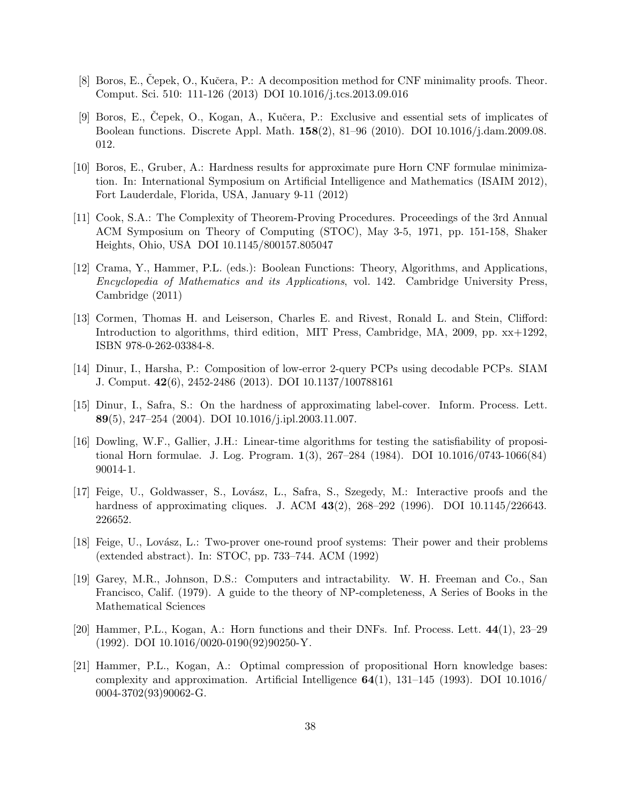- <span id="page-37-6"></span><span id="page-37-3"></span>[8] Boros, E., Cepek, O., Kučera, P.: A decomposition method for CNF minimality proofs. Theor. Comput. Sci. 510: 111-126 (2013) DOI 10.1016/j.tcs.2013.09.016
- [9] Boros, E., Čepek, O., Kogan, A., Kučera, P.: Exclusive and essential sets of implicates of Boolean functions. Discrete Appl. Math. 158(2), 81–96 (2010). DOI 10.1016/j.dam.2009.08. 012.
- <span id="page-37-9"></span>[10] Boros, E., Gruber, A.: Hardness results for approximate pure Horn CNF formulae minimization. In: International Symposium on Artificial Intelligence and Mathematics (ISAIM 2012), Fort Lauderdale, Florida, USA, January 9-11 (2012)
- <span id="page-37-0"></span>[11] Cook, S.A.: The Complexity of Theorem-Proving Procedures. Proceedings of the 3rd Annual ACM Symposium on Theory of Computing (STOC), May 3-5, 1971, pp. 151-158, Shaker Heights, Ohio, USA DOI 10.1145/800157.805047
- <span id="page-37-5"></span>[12] Crama, Y., Hammer, P.L. (eds.): Boolean Functions: Theory, Algorithms, and Applications, Encyclopedia of Mathematics and its Applications, vol. 142. Cambridge University Press, Cambridge (2011)
- <span id="page-37-11"></span>[13] Cormen, Thomas H. and Leiserson, Charles E. and Rivest, Ronald L. and Stein, Clifford: Introduction to algorithms, third edition, MIT Press, Cambridge, MA, 2009, pp. xx+1292, ISBN 978-0-262-03384-8.
- <span id="page-37-8"></span><span id="page-37-7"></span>[14] Dinur, I., Harsha, P.: Composition of low-error 2-query PCPs using decodable PCPs. SIAM J. Comput. 42(6), 2452-2486 (2013). DOI 10.1137/100788161
- [15] Dinur, I., Safra, S.: On the hardness of approximating label-cover. Inform. Process. Lett. 89(5), 247–254 (2004). DOI 10.1016/j.ipl.2003.11.007.
- <span id="page-37-2"></span>[16] Dowling, W.F., Gallier, J.H.: Linear-time algorithms for testing the satisfiability of propositional Horn formulae. J. Log. Program. 1(3), 267–284 (1984). DOI 10.1016/0743-1066(84) 90014-1.
- <span id="page-37-12"></span>[17] Feige, U., Goldwasser, S., Lovász, L., Safra, S., Szegedy, M.: Interactive proofs and the hardness of approximating cliques. J. ACM 43(2), 268–292 (1996). DOI 10.1145/226643. 226652.
- <span id="page-37-13"></span>[18] Feige, U., Lov´asz, L.: Two-prover one-round proof systems: Their power and their problems (extended abstract). In: STOC, pp. 733–744. ACM (1992)
- <span id="page-37-1"></span>[19] Garey, M.R., Johnson, D.S.: Computers and intractability. W. H. Freeman and Co., San Francisco, Calif. (1979). A guide to the theory of NP-completeness, A Series of Books in the Mathematical Sciences
- <span id="page-37-10"></span>[20] Hammer, P.L., Kogan, A.: Horn functions and their DNFs. Inf. Process. Lett. 44(1), 23–29 (1992). DOI 10.1016/0020-0190(92)90250-Y.
- <span id="page-37-4"></span>[21] Hammer, P.L., Kogan, A.: Optimal compression of propositional Horn knowledge bases: complexity and approximation. Artificial Intelligence  $64(1)$ , 131–145 (1993). DOI 10.1016/ 0004-3702(93)90062-G.